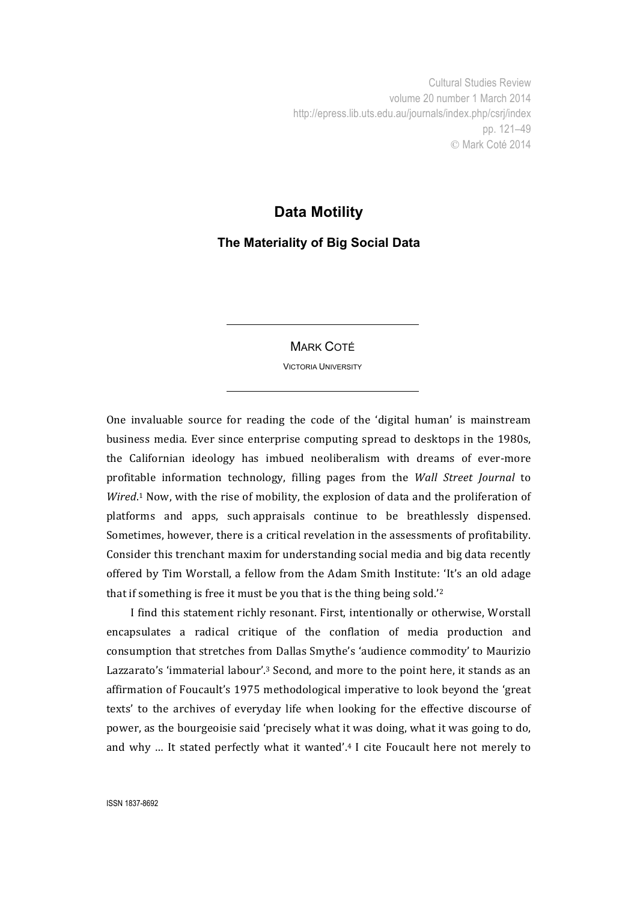Cultural Studies Review volume 20 number 1 March 2014 http://epress.lib.uts.edu.au/journals/index.php/csrj/index pp. 121–49 Mark Coté 2014

## **Data Motility**

**The Materiality of Big Social Data**

MARK COTÉ

VICTORIA UNIVERSITY

One invaluable source for reading the code of the 'digital human' is mainstream business media. Ever since enterprise computing spread to desktops in the 1980s, the Californian ideology has imbued neoliberalism with dreams of ever-more profitable information technology, filling pages from the *Wall Street Journal* to Wired.<sup>1</sup> Now, with the rise of mobility, the explosion of data and the proliferation of platforms and apps, such appraisals continue to be breathlessly dispensed. Sometimes, however, there is a critical revelation in the assessments of profitability. Consider this trenchant maxim for understanding social media and big data recently offered by Tim Worstall, a fellow from the Adam Smith Institute: 'It's an old adage that if something is free it must be you that is the thing being sold.'2

I find this statement richly resonant. First, intentionally or otherwise, Worstall encapsulates a radical critique of the conflation of media production and consumption that stretches from Dallas Smythe's 'audience commodity' to Maurizio Lazzarato's 'immaterial labour'.<sup>3</sup> Second, and more to the point here, it stands as an affirmation of Foucault's 1975 methodological imperative to look beyond the 'great texts' to the archives of everyday life when looking for the effective discourse of power, as the bourgeoisie said 'precisely what it was doing, what it was going to do, and why ... It stated perfectly what it wanted'.<sup>4</sup> I cite Foucault here not merely to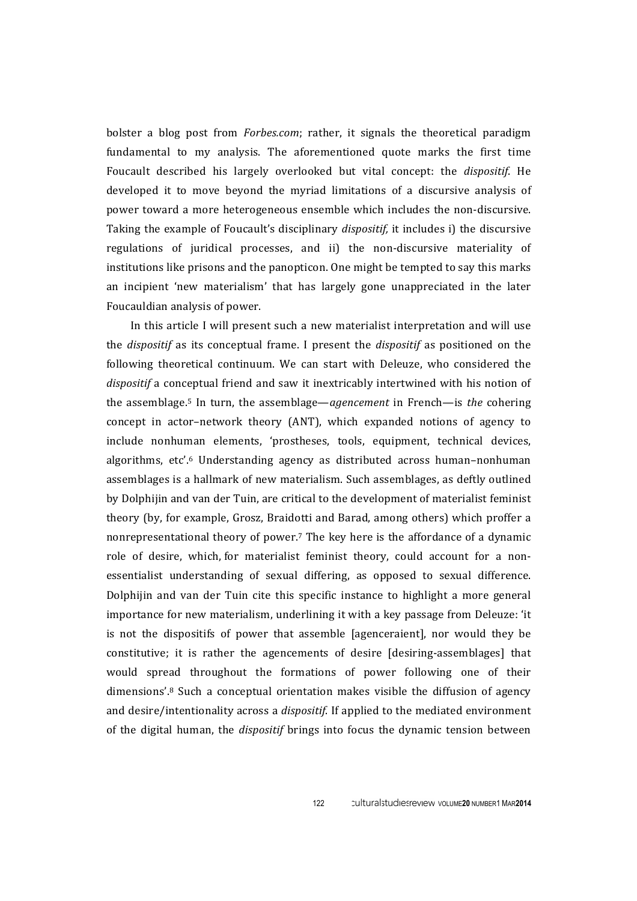bolster a blog post from *Forbes.com*; rather, it signals the theoretical paradigm fundamental to my analysis. The aforementioned quote marks the first time Foucault described his largely overlooked but vital concept: the *dispositif*. He developed it to move beyond the myriad limitations of a discursive analysis of power toward a more heterogeneous ensemble which includes the non-discursive. Taking the example of Foucault's disciplinary *dispositif*, it includes i) the discursive regulations of juridical processes, and ii) the non-discursive materiality of institutions like prisons and the panopticon. One might be tempted to say this marks an incipient 'new materialism' that has largely gone unappreciated in the later Foucauldian analysis of power.

In this article I will present such a new materialist interpretation and will use the *dispositif* as its conceptual frame. I present the *dispositif* as positioned on the following theoretical continuum. We can start with Deleuze, who considered the dispositif a conceptual friend and saw it inextricably intertwined with his notion of the assemblage.<sup>5</sup> In turn, the assemblage—*agencement* in French—is *the* cohering concept in actor–network theory (ANT), which expanded notions of agency to include nonhuman elements, 'prostheses, tools, equipment, technical devices, algorithms, etc'.<sup>6</sup> Understanding agency as distributed across human-nonhuman assemblages is a hallmark of new materialism. Such assemblages, as deftly outlined by Dolphijin and van der Tuin, are critical to the development of materialist feminist theory (by, for example, Grosz, Braidotti and Barad, among others) which proffer a nonrepresentational theory of power.<sup>7</sup> The key here is the affordance of a dynamic role of desire, which, for materialist feminist theory, could account for a nonessentialist understanding of sexual differing, as opposed to sexual difference. Dolphijin and van der Tuin cite this specific instance to highlight a more general importance for new materialism, underlining it with a key passage from Deleuze: 'it is not the dispositifs of power that assemble  $[agent]$ , nor would they be constitutive; it is rather the agencements of desire [desiring-assemblages] that would spread throughout the formations of power following one of their dimensions'.<sup>8</sup> Such a conceptual orientation makes visible the diffusion of agency and desire/intentionality across a *dispositif*. If applied to the mediated environment of the digital human, the *dispositif* brings into focus the dynamic tension between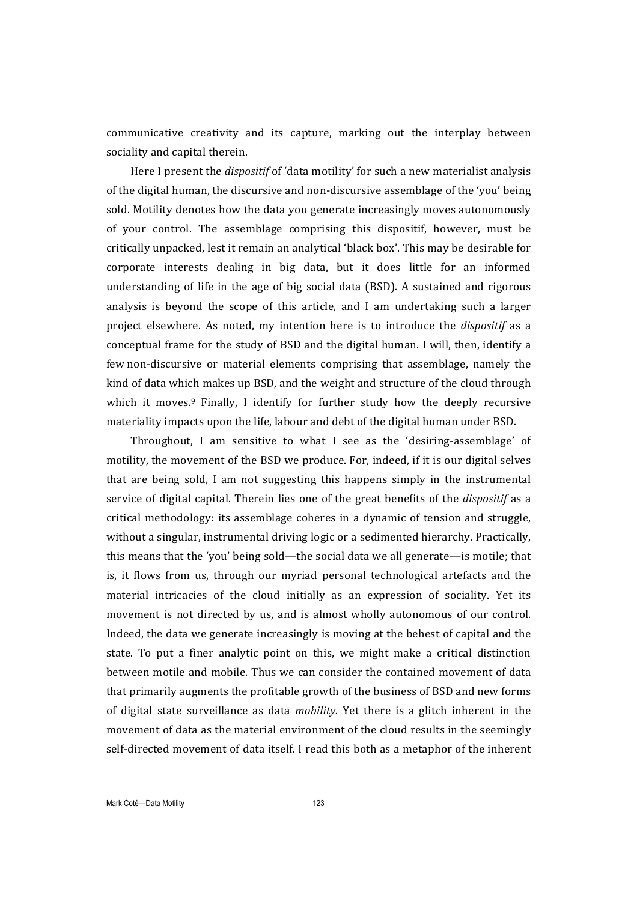communicative creativity and its capture, marking out the interplay between sociality and capital therein.

Here I present the *dispositif* of 'data motility' for such a new materialist analysis of the digital human, the discursive and non-discursive assemblage of the 'you' being sold. Motility denotes how the data you generate increasingly moves autonomously of your control. The assemblage comprising this dispositif, however, must be critically unpacked, lest it remain an analytical 'black box'. This may be desirable for corporate interests dealing in big data, but it does little for an informed understanding of life in the age of big social data (BSD). A sustained and rigorous analysis is beyond the scope of this article, and I am undertaking such a larger project elsewhere. As noted, my intention here is to introduce the *dispositif* as a conceptual frame for the study of BSD and the digital human. I will, then, identify a few non-discursive or material elements comprising that assemblage, namely the kind of data which makes up BSD, and the weight and structure of the cloud through which it moves.<sup>9</sup> Finally, I identify for further study how the deeply recursive materiality impacts upon the life, labour and debt of the digital human under BSD.

Throughout, I am sensitive to what I see as the 'desiring-assemblage' of motility, the movement of the BSD we produce. For, indeed, if it is our digital selves that are being sold, I am not suggesting this happens simply in the instrumental service of digital capital. Therein lies one of the great benefits of the *dispositif* as a critical methodology: its assemblage coheres in a dynamic of tension and struggle, without a singular, instrumental driving logic or a sedimented hierarchy. Practically, this means that the 'you' being sold—the social data we all generate—is motile; that is, it flows from us, through our myriad personal technological artefacts and the material intricacies of the cloud initially as an expression of sociality. Yet its movement is not directed by us, and is almost wholly autonomous of our control. Indeed, the data we generate increasingly is moving at the behest of capital and the state. To put a finer analytic point on this, we might make a critical distinction between motile and mobile. Thus we can consider the contained movement of data that primarily augments the profitable growth of the business of BSD and new forms of digital state surveillance as data *mobility*. Yet there is a glitch inherent in the movement of data as the material environment of the cloud results in the seemingly self-directed movement of data itself. I read this both as a metaphor of the inherent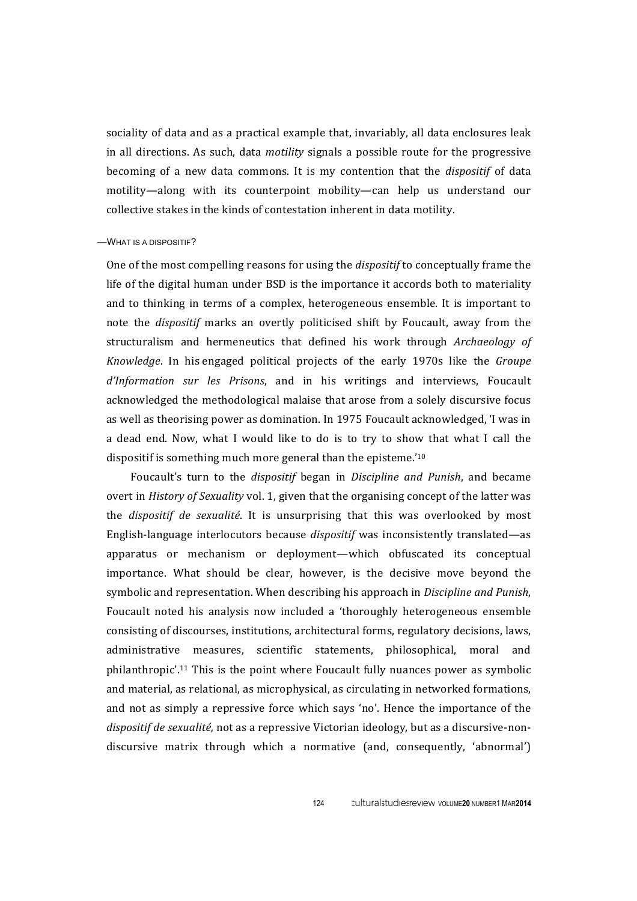sociality of data and as a practical example that, invariably, all data enclosures leak in all directions. As such, data *motility* signals a possible route for the progressive becoming of a new data commons. It is my contention that the *dispositif* of data motility—along with its counterpoint mobility—can help us understand our collective stakes in the kinds of contestation inherent in data motility.

## —WHAT IS A DISPOSITIF?

One of the most compelling reasons for using the *dispositif* to conceptually frame the life of the digital human under BSD is the importance it accords both to materiality and to thinking in terms of a complex, heterogeneous ensemble. It is important to note the *dispositif* marks an overtly politicised shift by Foucault, away from the structuralism and hermeneutics that defined his work through *Archaeology of Knowledge*. In his engaged political projects of the early 1970s like the *Groupe d'Information* sur les Prisons, and in his writings and interviews, Foucault acknowledged the methodological malaise that arose from a solely discursive focus as well as theorising power as domination. In 1975 Foucault acknowledged, 'I was in a dead end. Now, what I would like to do is to try to show that what I call the dispositif is something much more general than the episteme.' $10$ 

Foucault's turn to the *dispositif* began in *Discipline and Punish*, and became overt in *History of Sexuality* vol. 1, given that the organising concept of the latter was the *dispositif de sexualité*. It is unsurprising that this was overlooked by most English-language interlocutors because *dispositif* was inconsistently translated—as apparatus or mechanism or deployment—which obfuscated its conceptual importance. What should be clear, however, is the decisive move beyond the symbolic and representation. When describing his approach in *Discipline and Punish*, Foucault noted his analysis now included a 'thoroughly heterogeneous ensemble consisting of discourses, institutions, architectural forms, regulatory decisions, laws, administrative measures, scientific statements, philosophical, moral and philanthropic'.<sup>11</sup> This is the point where Foucault fully nuances power as symbolic and material, as relational, as microphysical, as circulating in networked formations, and not as simply a repressive force which says 'no'. Hence the importance of the *dispositif de sexualité*, not as a repressive Victorian ideology, but as a discursive-nondiscursive matrix through which a normative (and, consequently, 'abnormal')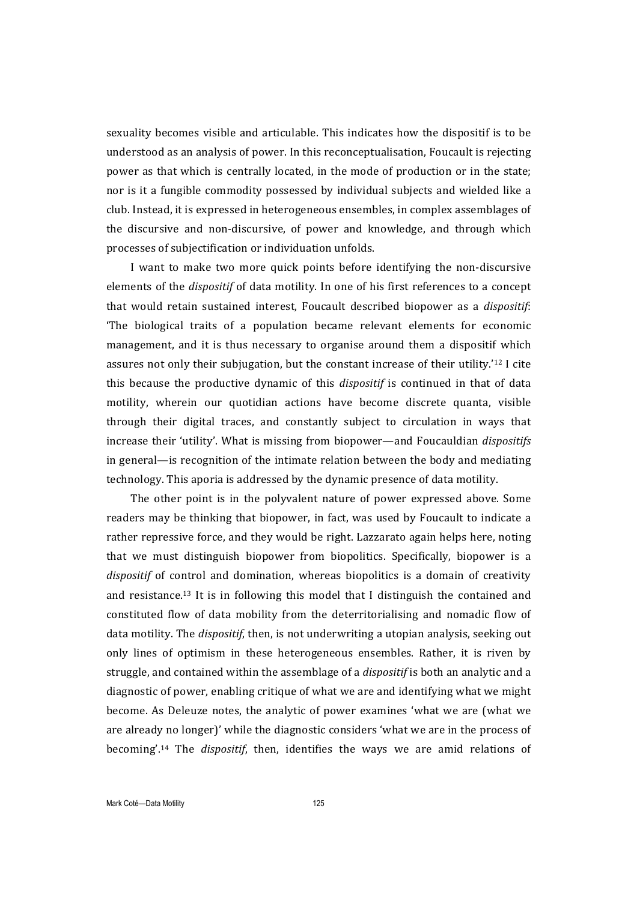sexuality becomes visible and articulable. This indicates how the dispositif is to be understood as an analysis of power. In this reconceptualisation, Foucault is rejecting power as that which is centrally located, in the mode of production or in the state; nor is it a fungible commodity possessed by individual subjects and wielded like a club. Instead, it is expressed in heterogeneous ensembles, in complex assemblages of the discursive and non-discursive, of power and knowledge, and through which processes of subjectification or individuation unfolds.

I want to make two more quick points before identifying the non-discursive elements of the *dispositif* of data motility. In one of his first references to a concept that would retain sustained interest. Foucault described biopower as a *dispositif*: 'The biological traits of a population became relevant elements for economic management, and it is thus necessary to organise around them a dispositif which assures not only their subjugation, but the constant increase of their utility.<sup>'12</sup> I cite this because the productive dynamic of this *dispositif* is continued in that of data motility, wherein our quotidian actions have become discrete quanta, visible through their digital traces, and constantly subject to circulation in ways that increase their 'utility'. What is missing from biopower—and Foucauldian *dispositifs* in general—is recognition of the intimate relation between the body and mediating technology. This aporia is addressed by the dynamic presence of data motility.

The other point is in the polyvalent nature of power expressed above. Some readers may be thinking that biopower, in fact, was used by Foucault to indicate a rather repressive force, and they would be right. Lazzarato again helps here, noting that we must distinguish biopower from biopolitics. Specifically, biopower is a *dispositif* of control and domination, whereas biopolitics is a domain of creativity and resistance.<sup>13</sup> It is in following this model that I distinguish the contained and constituted flow of data mobility from the deterritorialising and nomadic flow of data motility. The *dispositif*, then, is not underwriting a utopian analysis, seeking out only lines of optimism in these heterogeneous ensembles. Rather, it is riven by struggle, and contained within the assemblage of a *dispositif* is both an analytic and a diagnostic of power, enabling critique of what we are and identifying what we might become. As Deleuze notes, the analytic of power examines 'what we are (what we are already no longer)' while the diagnostic considers 'what we are in the process of becoming'.<sup>14</sup> The *dispositif*, then, identifies the ways we are amid relations of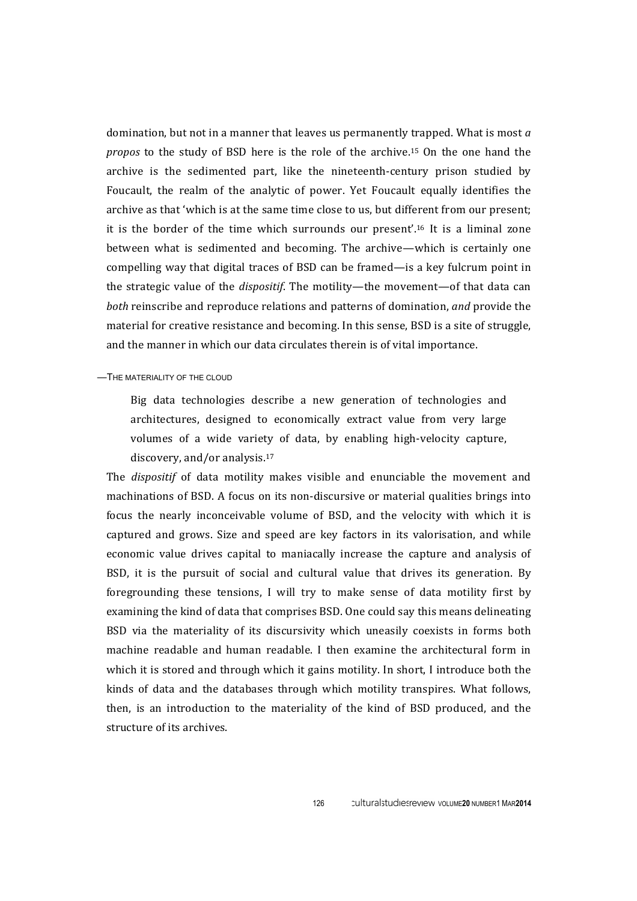domination, but not in a manner that leaves us permanently trapped. What is most *a propos* to the study of BSD here is the role of the archive.<sup>15</sup> On the one hand the archive is the sedimented part, like the nineteenth-century prison studied by Foucault, the realm of the analytic of power. Yet Foucault equally identifies the archive as that 'which is at the same time close to us, but different from our present; it is the border of the time which surrounds our present'.<sup>16</sup> It is a liminal zone between what is sedimented and becoming. The archive—which is certainly one compelling way that digital traces of BSD can be framed—is a key fulcrum point in the strategic value of the *dispositif*. The motility—the movement—of that data can *both* reinscribe and reproduce relations and patterns of domination, *and* provide the material for creative resistance and becoming. In this sense, BSD is a site of struggle, and the manner in which our data circulates therein is of vital importance.

## —THE MATERIALITY OF THE CLOUD

Big data technologies describe a new generation of technologies and architectures, designed to economically extract value from very large volumes of a wide variety of data, by enabling high-velocity capture, discovery, and/or analysis.<sup>17</sup>

The *dispositif* of data motility makes visible and enunciable the movement and machinations of BSD. A focus on its non-discursive or material qualities brings into focus the nearly inconceivable volume of BSD, and the velocity with which it is captured and grows. Size and speed are key factors in its valorisation, and while economic value drives capital to maniacally increase the capture and analysis of BSD, it is the pursuit of social and cultural value that drives its generation. By foregrounding these tensions, I will try to make sense of data motility first by examining the kind of data that comprises BSD. One could say this means delineating BSD via the materiality of its discursivity which uneasily coexists in forms both machine readable and human readable. I then examine the architectural form in which it is stored and through which it gains motility. In short, I introduce both the kinds of data and the databases through which motility transpires. What follows, then, is an introduction to the materiality of the kind of BSD produced, and the structure of its archives.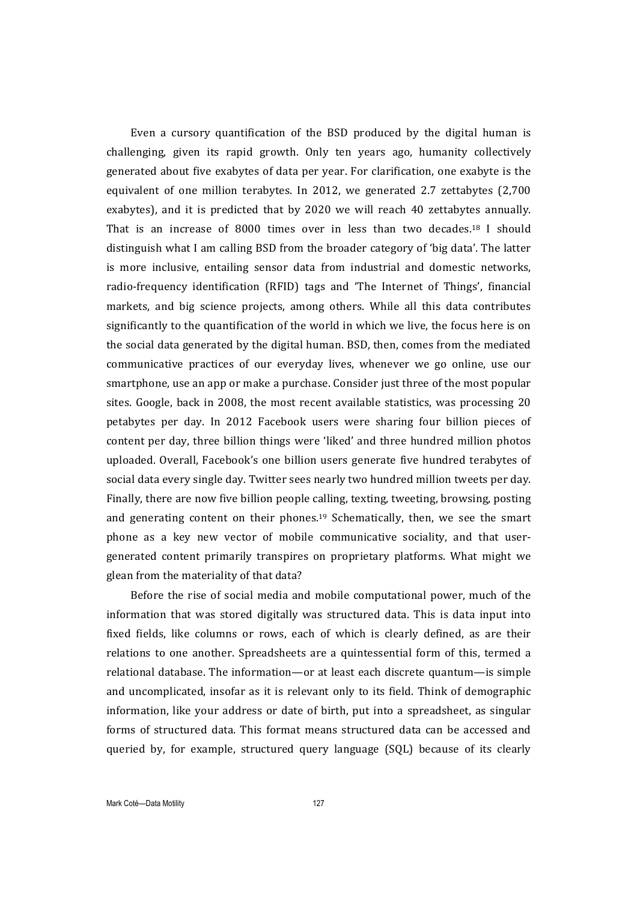Even a cursory quantification of the BSD produced by the digital human is challenging, given its rapid growth. Only ten years ago, humanity collectively generated about five exabytes of data per year. For clarification, one exabyte is the equivalent of one million terabytes. In 2012, we generated 2.7 zettabytes (2,700 exabytes), and it is predicted that by 2020 we will reach 40 zettabytes annually. That is an increase of 8000 times over in less than two decades.<sup>18</sup> I should distinguish what I am calling BSD from the broader category of 'big data'. The latter is more inclusive, entailing sensor data from industrial and domestic networks, radio-frequency identification (RFID) tags and 'The Internet of Things', financial markets, and big science projects, among others. While all this data contributes significantly to the quantification of the world in which we live, the focus here is on the social data generated by the digital human. BSD, then, comes from the mediated communicative practices of our everyday lives, whenever we go online, use our smartphone, use an app or make a purchase. Consider just three of the most popular sites. Google, back in 2008, the most recent available statistics, was processing 20 petabytes per day. In 2012 Facebook users were sharing four billion pieces of content per day, three billion things were 'liked' and three hundred million photos uploaded. Overall, Facebook's one billion users generate five hundred terabytes of social data every single day. Twitter sees nearly two hundred million tweets per day. Finally, there are now five billion people calling, texting, tweeting, browsing, posting and generating content on their phones.<sup>19</sup> Schematically, then, we see the smart phone as a key new vector of mobile communicative sociality, and that usergenerated content primarily transpires on proprietary platforms. What might we glean from the materiality of that data?

Before the rise of social media and mobile computational power, much of the information that was stored digitally was structured data. This is data input into fixed fields, like columns or rows, each of which is clearly defined, as are their relations to one another. Spreadsheets are a quintessential form of this, termed a relational database. The information—or at least each discrete quantum—is simple and uncomplicated, insofar as it is relevant only to its field. Think of demographic information, like your address or date of birth, put into a spreadsheet, as singular forms of structured data. This format means structured data can be accessed and queried by, for example, structured query language (SQL) because of its clearly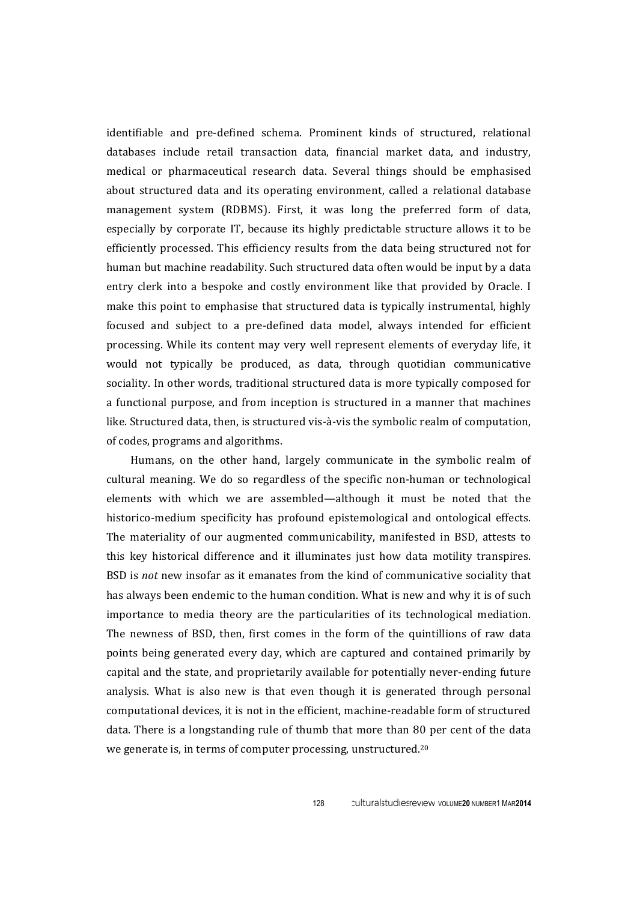identifiable and pre-defined schema. Prominent kinds of structured, relational databases include retail transaction data, financial market data, and industry, medical or pharmaceutical research data. Several things should be emphasised about structured data and its operating environment, called a relational database management system (RDBMS). First, it was long the preferred form of data, especially by corporate IT, because its highly predictable structure allows it to be efficiently processed. This efficiency results from the data being structured not for human but machine readability. Such structured data often would be input by a data entry clerk into a bespoke and costly environment like that provided by Oracle. I make this point to emphasise that structured data is typically instrumental, highly focused and subject to a pre-defined data model, always intended for efficient processing. While its content may very well represent elements of everyday life, it would not typically be produced, as data, through quotidian communicative sociality. In other words, traditional structured data is more typically composed for a functional purpose, and from inception is structured in a manner that machines like. Structured data, then, is structured vis-à-vis the symbolic realm of computation, of codes, programs and algorithms.

Humans, on the other hand, largely communicate in the symbolic realm of cultural meaning. We do so regardless of the specific non-human or technological elements with which we are assembled—although it must be noted that the historico-medium specificity has profound epistemological and ontological effects. The materiality of our augmented communicability, manifested in BSD, attests to this key historical difference and it illuminates just how data motility transpires. BSD is *not* new insofar as it emanates from the kind of communicative sociality that has always been endemic to the human condition. What is new and why it is of such importance to media theory are the particularities of its technological mediation. The newness of BSD, then, first comes in the form of the quintillions of raw data points being generated every day, which are captured and contained primarily by capital and the state, and proprietarily available for potentially never-ending future analysis. What is also new is that even though it is generated through personal computational devices, it is not in the efficient, machine-readable form of structured data. There is a longstanding rule of thumb that more than 80 per cent of the data we generate is, in terms of computer processing, unstructured.<sup>20</sup>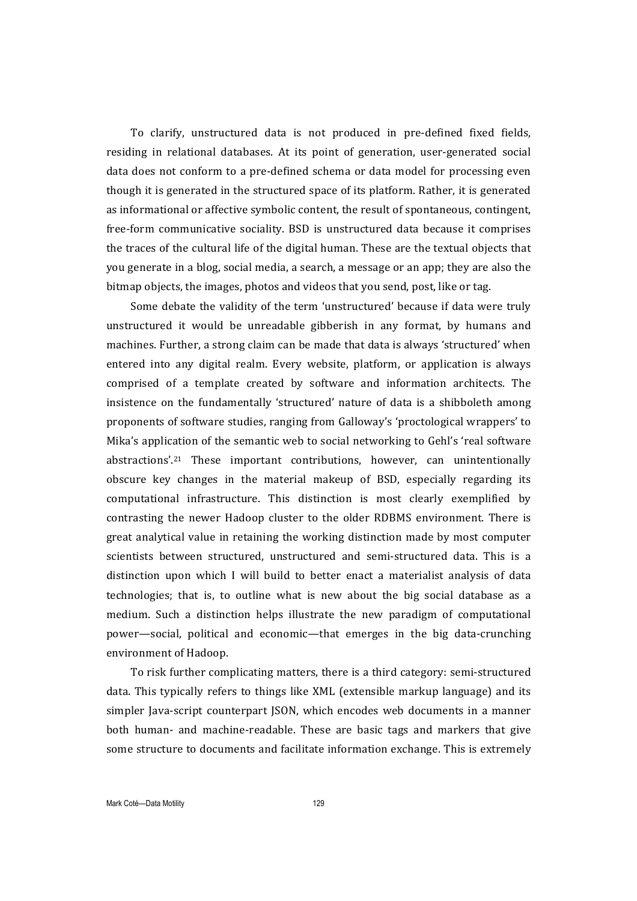To clarify, unstructured data is not produced in pre-defined fixed fields, residing in relational databases. At its point of generation, user-generated social data does not conform to a pre-defined schema or data model for processing even though it is generated in the structured space of its platform. Rather, it is generated as informational or affective symbolic content, the result of spontaneous, contingent, free-form communicative sociality. BSD is unstructured data because it comprises the traces of the cultural life of the digital human. These are the textual objects that you generate in a blog, social media, a search, a message or an app; they are also the bitmap objects, the images, photos and videos that you send, post, like or tag.

Some debate the validity of the term 'unstructured' because if data were truly unstructured it would be unreadable gibberish in any format, by humans and machines. Further, a strong claim can be made that data is always 'structured' when entered into any digital realm. Every website, platform, or application is always comprised of a template created by software and information architects. The insistence on the fundamentally 'structured' nature of data is a shibboleth among proponents of software studies, ranging from Galloway's 'proctological wrappers' to Mika's application of the semantic web to social networking to Gehl's 'real software abstractions'.<sup>21</sup> These important contributions, however, can unintentionally obscure key changes in the material makeup of BSD, especially regarding its computational infrastructure. This distinction is most clearly exemplified by contrasting the newer Hadoop cluster to the older RDBMS environment. There is great analytical value in retaining the working distinction made by most computer scientists between structured, unstructured and semi-structured data. This is a distinction upon which I will build to better enact a materialist analysis of data technologies; that is, to outline what is new about the big social database as a medium. Such a distinction helps illustrate the new paradigm of computational power—social, political and economic—that emerges in the big data-crunching environment of Hadoop.

To risk further complicating matters, there is a third category: semi-structured data. This typically refers to things like XML (extensible markup language) and its simpler Java-script counterpart JSON, which encodes web documents in a manner both human- and machine-readable. These are basic tags and markers that give some structure to documents and facilitate information exchange. This is extremely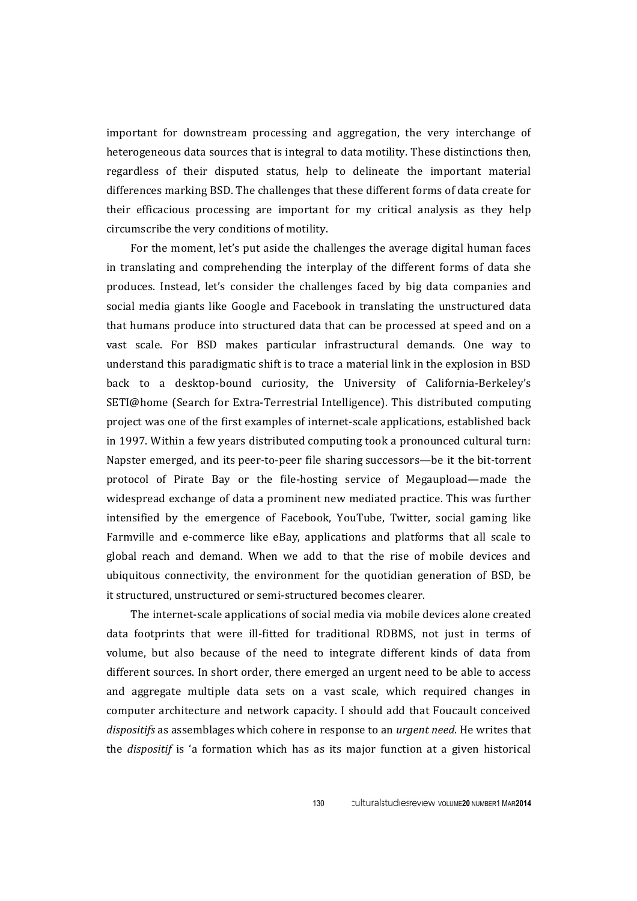important for downstream processing and aggregation, the very interchange of heterogeneous data sources that is integral to data motility. These distinctions then, regardless of their disputed status, help to delineate the important material differences marking BSD. The challenges that these different forms of data create for their efficacious processing are important for my critical analysis as they help circumscribe the very conditions of motility.

For the moment, let's put aside the challenges the average digital human faces in translating and comprehending the interplay of the different forms of data she produces. Instead, let's consider the challenges faced by big data companies and social media giants like Google and Facebook in translating the unstructured data that humans produce into structured data that can be processed at speed and on a vast scale. For BSD makes particular infrastructural demands. One way to understand this paradigmatic shift is to trace a material link in the explosion in BSD back to a desktop-bound curiosity, the University of California-Berkeley's SETI@home (Search for Extra-Terrestrial Intelligence). This distributed computing project was one of the first examples of internet-scale applications, established back in 1997. Within a few years distributed computing took a pronounced cultural turn: Napster emerged, and its peer-to-peer file sharing successors—be it the bit-torrent protocol of Pirate Bay or the file-hosting service of Megaupload—made the widespread exchange of data a prominent new mediated practice. This was further intensified by the emergence of Facebook, YouTube, Twitter, social gaming like Farmville and e-commerce like eBay, applications and platforms that all scale to global reach and demand. When we add to that the rise of mobile devices and ubiquitous connectivity, the environment for the quotidian generation of BSD, be it structured, unstructured or semi-structured becomes clearer.

The internet-scale applications of social media via mobile devices alone created data footprints that were ill-fitted for traditional RDBMS, not just in terms of volume, but also because of the need to integrate different kinds of data from different sources. In short order, there emerged an urgent need to be able to access and aggregate multiple data sets on a vast scale, which required changes in computer architecture and network capacity. I should add that Foucault conceived *dispositifs* as assemblages which cohere in response to an *urgent need*. He writes that the *dispositif* is 'a formation which has as its major function at a given historical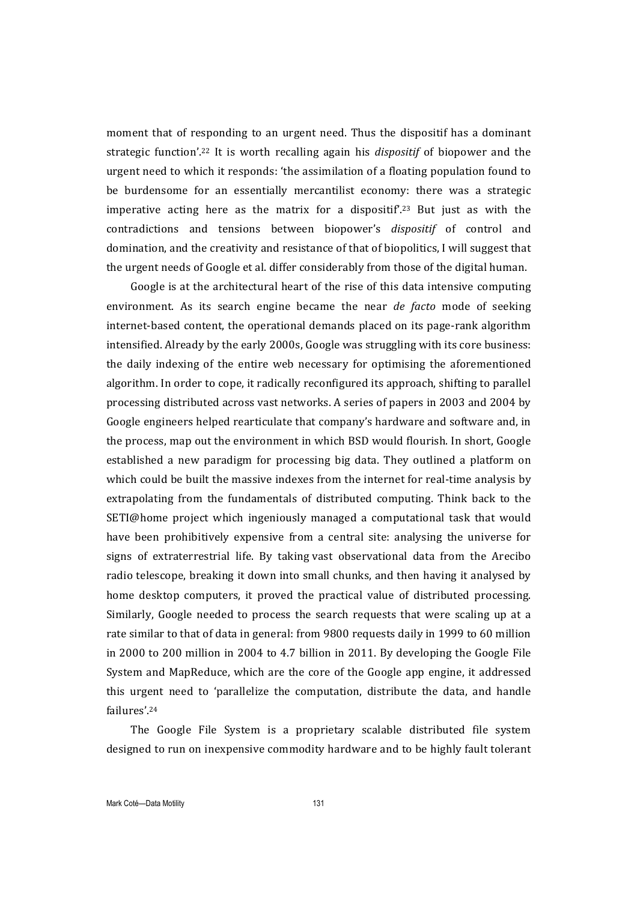moment that of responding to an urgent need. Thus the dispositif has a dominant strategic function'.<sup>22</sup> It is worth recalling again his *dispositif* of biopower and the urgent need to which it responds: 'the assimilation of a floating population found to be burdensome for an essentially mercantilist economy: there was a strategic imperative acting here as the matrix for a dispositif'.<sup>23</sup> But just as with the contradictions and tensions between biopower's *dispositif* of control and domination, and the creativity and resistance of that of biopolitics, I will suggest that the urgent needs of Google et al. differ considerably from those of the digital human.

Google is at the architectural heart of the rise of this data intensive computing environment. As its search engine became the near *de facto* mode of seeking internet-based content, the operational demands placed on its page-rank algorithm intensified. Already by the early 2000s, Google was struggling with its core business: the daily indexing of the entire web necessary for optimising the aforementioned algorithm. In order to cope, it radically reconfigured its approach, shifting to parallel processing distributed across vast networks. A series of papers in 2003 and 2004 by Google engineers helped rearticulate that company's hardware and software and, in the process, map out the environment in which BSD would flourish. In short, Google established a new paradigm for processing big data. They outlined a platform on which could be built the massive indexes from the internet for real-time analysis by extrapolating from the fundamentals of distributed computing. Think back to the  $SETI@home$  project which ingeniously managed a computational task that would have been prohibitively expensive from a central site: analysing the universe for signs of extraterrestrial life. By taking vast observational data from the Arecibo radio telescope, breaking it down into small chunks, and then having it analysed by home desktop computers, it proved the practical value of distributed processing. Similarly, Google needed to process the search requests that were scaling up at a rate similar to that of data in general: from 9800 requests daily in 1999 to 60 million in 2000 to 200 million in 2004 to 4.7 billion in 2011. By developing the Google File System and MapReduce, which are the core of the Google app engine, it addressed this urgent need to 'parallelize the computation, distribute the data, and handle failures'. 24

The Google File System is a proprietary scalable distributed file system designed to run on inexpensive commodity hardware and to be highly fault tolerant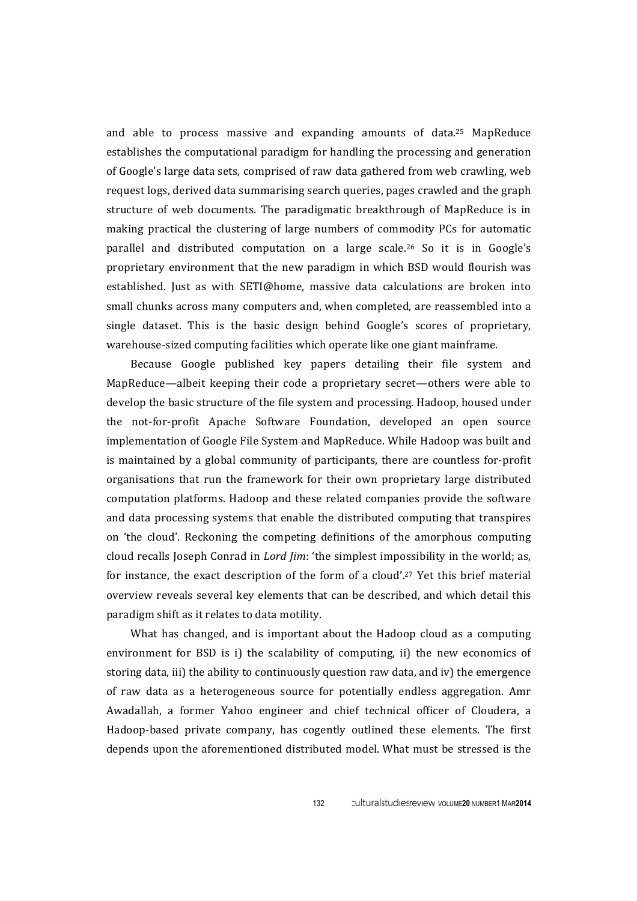and able to process massive and expanding amounts of data.<sup>25</sup> MapReduce establishes the computational paradigm for handling the processing and generation of Google's large data sets, comprised of raw data gathered from web crawling, web request logs, derived data summarising search queries, pages crawled and the graph structure of web documents. The paradigmatic breakthrough of MapReduce is in making practical the clustering of large numbers of commodity PCs for automatic parallel and distributed computation on a large scale.<sup>26</sup> So it is in Google's proprietary environment that the new paradigm in which BSD would flourish was established. Just as with SETI@home, massive data calculations are broken into small chunks across many computers and, when completed, are reassembled into a single dataset. This is the basic design behind Google's scores of proprietary, warehouse-sized computing facilities which operate like one giant mainframe.

Because Google published key papers detailing their file system and MapReduce—albeit keeping their code a proprietary secret—others were able to develop the basic structure of the file system and processing. Hadoop, housed under the not-for-profit Apache Software Foundation, developed an open source implementation of Google File System and MapReduce. While Hadoop was built and is maintained by a global community of participants, there are countless for-profit organisations that run the framework for their own proprietary large distributed computation platforms. Hadoop and these related companies provide the software and data processing systems that enable the distributed computing that transpires on 'the cloud'. Reckoning the competing definitions of the amorphous computing cloud recalls Joseph Conrad in *Lord Jim*: 'the simplest impossibility in the world; as, for instance, the exact description of the form of a cloud'.<sup>27</sup> Yet this brief material overview reveals several key elements that can be described, and which detail this paradigm shift as it relates to data motility.

What has changed, and is important about the Hadoop cloud as a computing environment for BSD is i) the scalability of computing, ii) the new economics of storing data, iii) the ability to continuously question raw data, and iv) the emergence of raw data as a heterogeneous source for potentially endless aggregation. Amr Awadallah, a former Yahoo engineer and chief technical officer of Cloudera, a Hadoop-based private company, has cogently outlined these elements. The first depends upon the aforementioned distributed model. What must be stressed is the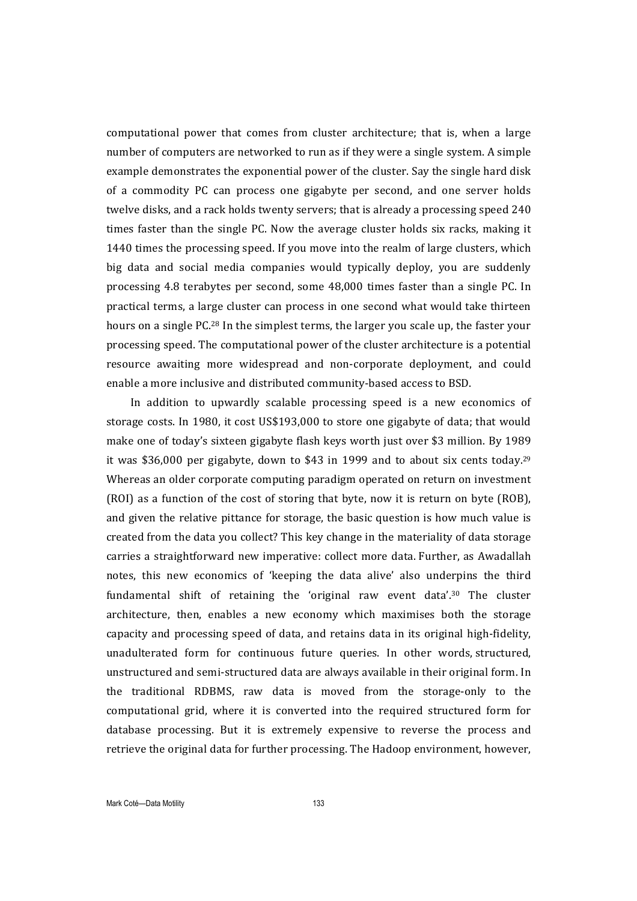computational power that comes from cluster architecture; that is, when a large number of computers are networked to run as if they were a single system. A simple example demonstrates the exponential power of the cluster. Say the single hard disk of a commodity PC can process one gigabyte per second, and one server holds twelve disks, and a rack holds twenty servers; that is already a processing speed 240 times faster than the single PC. Now the average cluster holds six racks, making it 1440 times the processing speed. If you move into the realm of large clusters, which big data and social media companies would typically deploy, you are suddenly processing 4.8 terabytes per second, some 48,000 times faster than a single PC. In practical terms, a large cluster can process in one second what would take thirteen hours on a single PC.<sup>28</sup> In the simplest terms, the larger you scale up, the faster your processing speed. The computational power of the cluster architecture is a potential resource awaiting more widespread and non-corporate deployment, and could enable a more inclusive and distributed community-based access to BSD.

In addition to upwardly scalable processing speed is a new economics of storage costs. In 1980, it cost US\$193,000 to store one gigabyte of data; that would make one of today's sixteen gigabyte flash keys worth just over \$3 million. By 1989 it was \$36,000 per gigabyte, down to \$43 in 1999 and to about six cents today.<sup>29</sup> Whereas an older corporate computing paradigm operated on return on investment (ROI) as a function of the cost of storing that byte, now it is return on byte (ROB). and given the relative pittance for storage, the basic question is how much value is created from the data you collect? This key change in the materiality of data storage carries a straightforward new imperative: collect more data. Further, as Awadallah notes, this new economics of 'keeping the data alive' also underpins the third fundamental shift of retaining the 'original raw event data'.<sup>30</sup> The cluster architecture, then, enables a new economy which maximises both the storage capacity and processing speed of data, and retains data in its original high-fidelity, unadulterated form for continuous future queries. In other words structured, unstructured and semi-structured data are always available in their original form. In the traditional RDBMS, raw data is moved from the storage-only to the computational grid, where it is converted into the required structured form for database processing. But it is extremely expensive to reverse the process and retrieve the original data for further processing. The Hadoop environment, however,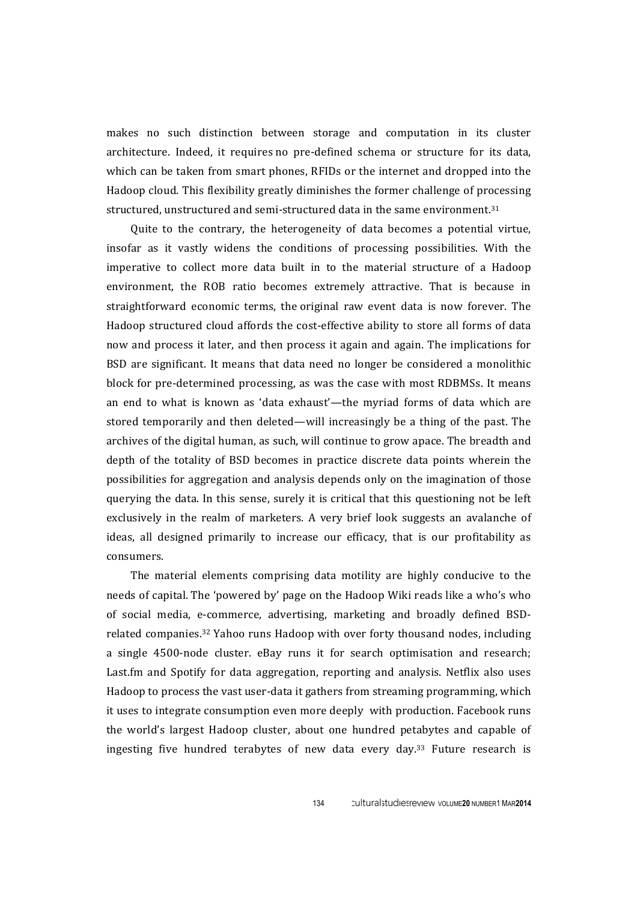makes no such distinction between storage and computation in its cluster architecture. Indeed, it requires no pre-defined schema or structure for its data, which can be taken from smart phones, RFIDs or the internet and dropped into the Hadoop cloud. This flexibility greatly diminishes the former challenge of processing structured, unstructured and semi-structured data in the same environment.<sup>31</sup>

Quite to the contrary, the heterogeneity of data becomes a potential virtue, insofar as it vastly widens the conditions of processing possibilities. With the imperative to collect more data built in to the material structure of a Hadoop environment, the ROB ratio becomes extremely attractive. That is because in straightforward economic terms, the original raw event data is now forever. The Hadoop structured cloud affords the cost-effective ability to store all forms of data now and process it later, and then process it again and again. The implications for BSD are significant. It means that data need no longer be considered a monolithic block for pre-determined processing, as was the case with most RDBMSs. It means an end to what is known as 'data exhaust'—the myriad forms of data which are stored temporarily and then deleted—will increasingly be a thing of the past. The archives of the digital human, as such, will continue to grow apace. The breadth and depth of the totality of BSD becomes in practice discrete data points wherein the possibilities for aggregation and analysis depends only on the imagination of those querving the data. In this sense, surely it is critical that this questioning not be left exclusively in the realm of marketers. A very brief look suggests an avalanche of ideas, all designed primarily to increase our efficacy, that is our profitability as consumers.

The material elements comprising data motility are highly conducive to the needs of capital. The 'powered by' page on the Hadoop Wiki reads like a who's who of social media, e-commerce, advertising, marketing and broadly defined BSDrelated companies.<sup>32</sup> Yahoo runs Hadoop with over forty thousand nodes, including a single 4500-node cluster. eBay runs it for search optimisation and research; Last.fm and Spotify for data aggregation, reporting and analysis. Netflix also uses Hadoop to process the vast user-data it gathers from streaming programming, which it uses to integrate consumption even more deeply with production. Facebook runs the world's largest Hadoop cluster, about one hundred petabytes and capable of ingesting five hundred terabytes of new data every day.<sup>33</sup> Future research is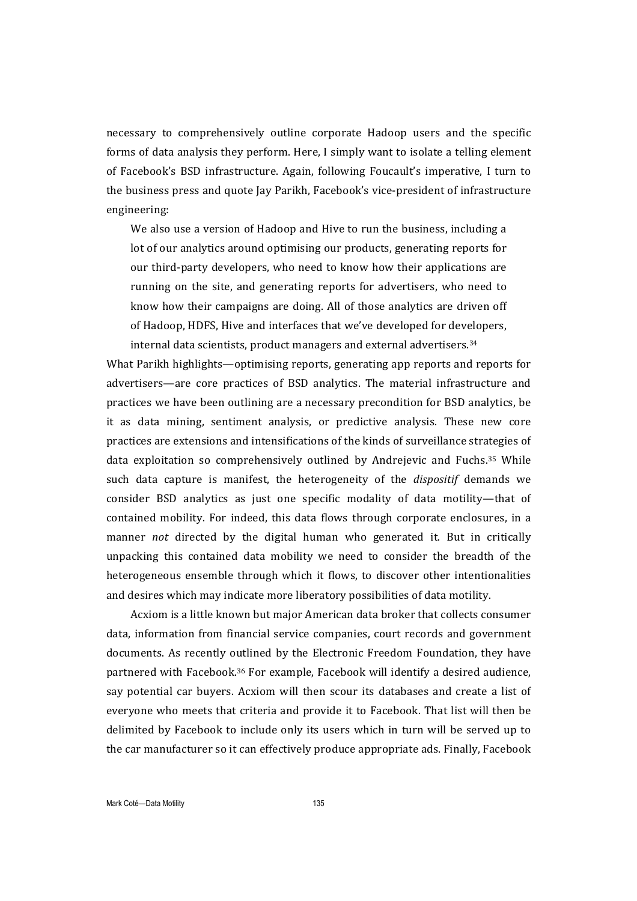necessary to comprehensively outline corporate Hadoop users and the specific forms of data analysis they perform. Here, I simply want to isolate a telling element of Facebook's BSD infrastructure. Again, following Foucault's imperative, I turn to the business press and quote Jay Parikh, Facebook's vice-president of infrastructure engineering: 

We also use a version of Hadoop and Hive to run the business, including a lot of our analytics around optimising our products, generating reports for our third-party developers, who need to know how their applications are running on the site, and generating reports for advertisers, who need to know how their campaigns are doing. All of those analytics are driven off of Hadoop, HDFS, Hive and interfaces that we've developed for developers, internal data scientists, product managers and external advertisers.<sup>34</sup>

What Parikh highlights—optimising reports, generating app reports and reports for advertisers—are core practices of BSD analytics. The material infrastructure and practices we have been outlining are a necessary precondition for BSD analytics, be it as data mining, sentiment analysis, or predictive analysis. These new core practices are extensions and intensifications of the kinds of surveillance strategies of data exploitation so comprehensively outlined by Andrejevic and Fuchs.<sup>35</sup> While such data capture is manifest, the heterogeneity of the *dispositif* demands we consider BSD analytics as just one specific modality of data motility—that of contained mobility. For indeed, this data flows through corporate enclosures, in a manner *not* directed by the digital human who generated it. But in critically unpacking this contained data mobility we need to consider the breadth of the heterogeneous ensemble through which it flows, to discover other intentionalities and desires which may indicate more liberatory possibilities of data motility.

Acxiom is a little known but major American data broker that collects consumer data, information from financial service companies, court records and government documents. As recently outlined by the Electronic Freedom Foundation, they have partnered with Facebook.<sup>36</sup> For example, Facebook will identify a desired audience, say potential car buyers. Acxiom will then scour its databases and create a list of everyone who meets that criteria and provide it to Facebook. That list will then be delimited by Facebook to include only its users which in turn will be served up to the car manufacturer so it can effectively produce appropriate ads. Finally, Facebook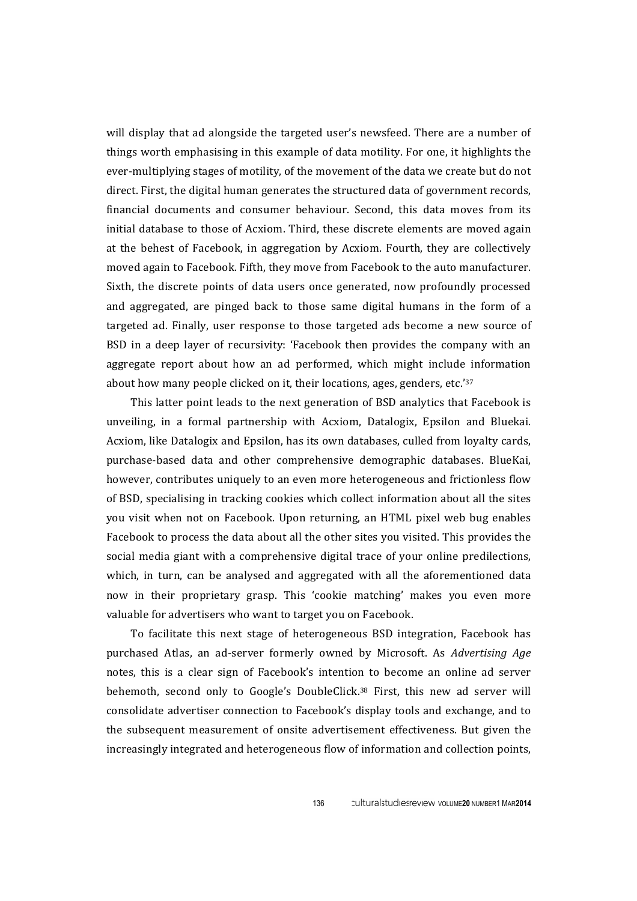will display that ad alongside the targeted user's newsfeed. There are a number of things worth emphasising in this example of data motility. For one, it highlights the ever-multiplying stages of motility, of the movement of the data we create but do not direct. First, the digital human generates the structured data of government records, financial documents and consumer behaviour. Second, this data moves from its initial database to those of Acxiom. Third, these discrete elements are moved again at the behest of Facebook, in aggregation by Acxiom. Fourth, they are collectively moved again to Facebook. Fifth, they move from Facebook to the auto manufacturer. Sixth, the discrete points of data users once generated, now profoundly processed and aggregated, are pinged back to those same digital humans in the form of a targeted ad. Finally, user response to those targeted ads become a new source of BSD in a deep layer of recursivity: 'Facebook then provides the company with an aggregate report about how an ad performed, which might include information about how many people clicked on it, their locations, ages, genders, etc.'<sup>37</sup>

This latter point leads to the next generation of BSD analytics that Facebook is unveiling, in a formal partnership with Acxiom, Datalogix, Epsilon and Bluekai. Acxiom, like Datalogix and Epsilon, has its own databases, culled from loyalty cards, purchase-based data and other comprehensive demographic databases. BlueKai, however, contributes uniquely to an even more heterogeneous and frictionless flow of BSD, specialising in tracking cookies which collect information about all the sites you visit when not on Facebook. Upon returning, an HTML pixel web bug enables Facebook to process the data about all the other sites you visited. This provides the social media giant with a comprehensive digital trace of your online predilections, which, in turn, can be analysed and aggregated with all the aforementioned data now in their proprietary grasp. This 'cookie matching' makes you even more valuable for advertisers who want to target you on Facebook.

To facilitate this next stage of heterogeneous BSD integration, Facebook has purchased Atlas, an ad-server formerly owned by Microsoft. As *Advertising Age* notes, this is a clear sign of Facebook's intention to become an online ad server behemoth, second only to Google's DoubleClick.<sup>38</sup> First, this new ad server will consolidate advertiser connection to Facebook's display tools and exchange, and to the subsequent measurement of onsite advertisement effectiveness. But given the increasingly integrated and heterogeneous flow of information and collection points,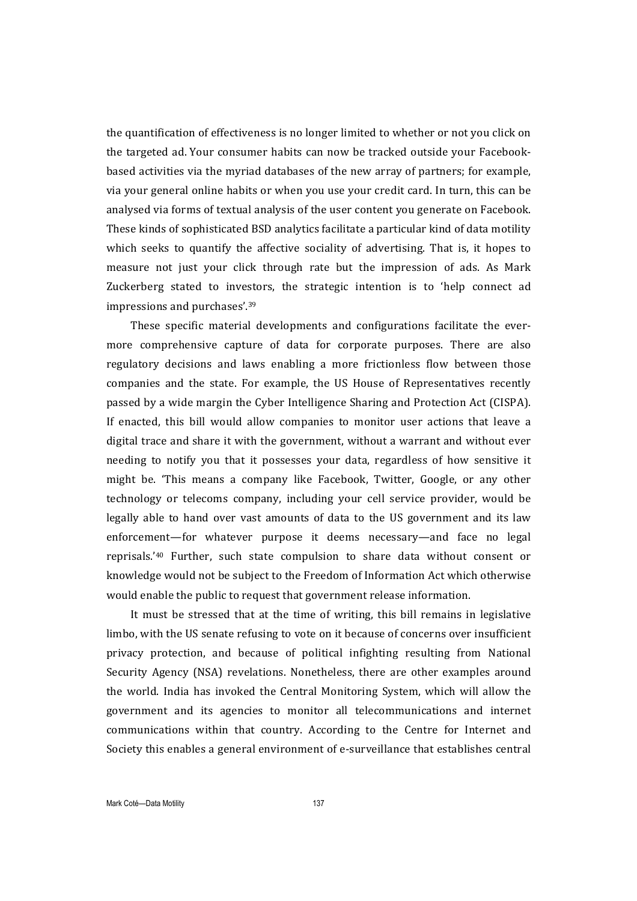the quantification of effectiveness is no longer limited to whether or not you click on the targeted ad. Your consumer habits can now be tracked outside your Facebookbased activities via the myriad databases of the new array of partners; for example, via your general online habits or when you use your credit card. In turn, this can be analysed via forms of textual analysis of the user content you generate on Facebook. These kinds of sophisticated BSD analytics facilitate a particular kind of data motility which seeks to quantify the affective sociality of advertising. That is, it hopes to measure not just your click through rate but the impression of ads. As Mark Zuckerberg stated to investors, the strategic intention is to 'help connect ad impressions and purchases'.<sup>39</sup>

These specific material developments and configurations facilitate the evermore comprehensive capture of data for corporate purposes. There are also regulatory decisions and laws enabling a more frictionless flow between those companies and the state. For example, the US House of Representatives recently passed by a wide margin the Cyber Intelligence Sharing and Protection Act (CISPA). If enacted, this bill would allow companies to monitor user actions that leave a digital trace and share it with the government, without a warrant and without ever needing to notify you that it possesses your data, regardless of how sensitive it might be. 'This means a company like Facebook, Twitter, Google, or any other technology or telecoms company, including your cell service provider, would be legally able to hand over vast amounts of data to the US government and its law enforcement—for whatever purpose it deems necessary—and face no legal reprisals.'<sup>40</sup> Further, such state compulsion to share data without consent or knowledge would not be subject to the Freedom of Information Act which otherwise would enable the public to request that government release information.

It must be stressed that at the time of writing, this bill remains in legislative limbo, with the US senate refusing to vote on it because of concerns over insufficient privacy protection, and because of political infighting resulting from National Security Agency (NSA) revelations. Nonetheless, there are other examples around the world. India has invoked the Central Monitoring System, which will allow the government and its agencies to monitor all telecommunications and internet communications within that country. According to the Centre for Internet and Society this enables a general environment of e-surveillance that establishes central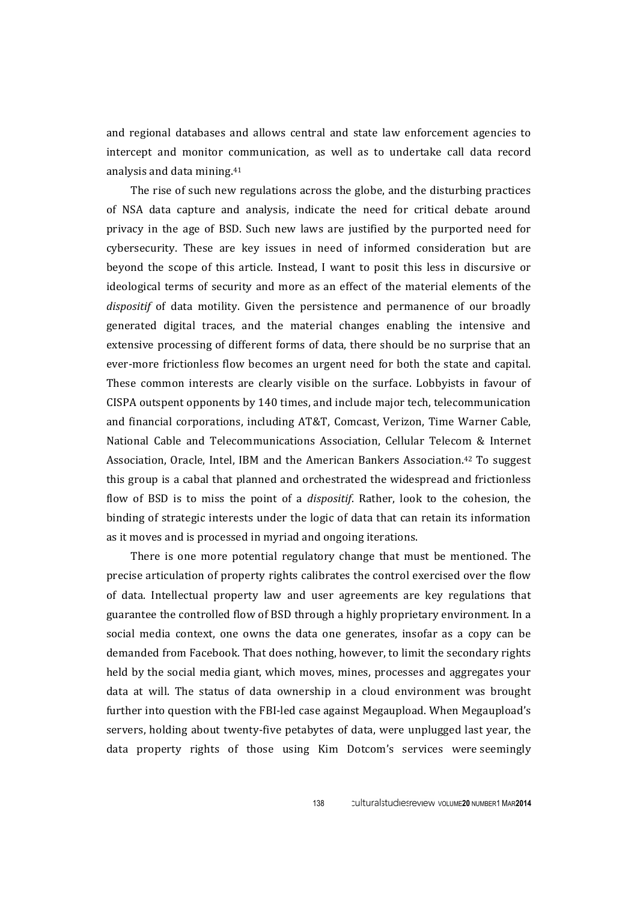and regional databases and allows central and state law enforcement agencies to intercept and monitor communication, as well as to undertake call data record analysis and data mining. $41$ 

The rise of such new regulations across the globe, and the disturbing practices of NSA data capture and analysis, indicate the need for critical debate around privacy in the age of BSD. Such new laws are justified by the purported need for cybersecurity. These are key issues in need of informed consideration but are beyond the scope of this article. Instead, I want to posit this less in discursive or ideological terms of security and more as an effect of the material elements of the dispositif of data motility. Given the persistence and permanence of our broadly generated digital traces, and the material changes enabling the intensive and extensive processing of different forms of data, there should be no surprise that an ever-more frictionless flow becomes an urgent need for both the state and capital. These common interests are clearly visible on the surface. Lobbyists in favour of CISPA outspent opponents by 140 times, and include major tech, telecommunication and financial corporations, including AT&T, Comcast, Verizon, Time Warner Cable, National Cable and Telecommunications Association, Cellular Telecom & Internet Association, Oracle, Intel, IBM and the American Bankers Association.<sup>42</sup> To suggest this group is a cabal that planned and orchestrated the widespread and frictionless flow of BSD is to miss the point of a *dispositif*. Rather, look to the cohesion, the binding of strategic interests under the logic of data that can retain its information as it moves and is processed in myriad and ongoing iterations.

There is one more potential regulatory change that must be mentioned. The precise articulation of property rights calibrates the control exercised over the flow of data. Intellectual property law and user agreements are key regulations that guarantee the controlled flow of BSD through a highly proprietary environment. In a social media context, one owns the data one generates, insofar as a copy can be demanded from Facebook. That does nothing, however, to limit the secondary rights held by the social media giant, which moves, mines, processes and aggregates your data at will. The status of data ownership in a cloud environment was brought further into question with the FBI-led case against Megaupload. When Megaupload's servers, holding about twenty-five petabytes of data, were unplugged last year, the data property rights of those using Kim Dotcom's services were seemingly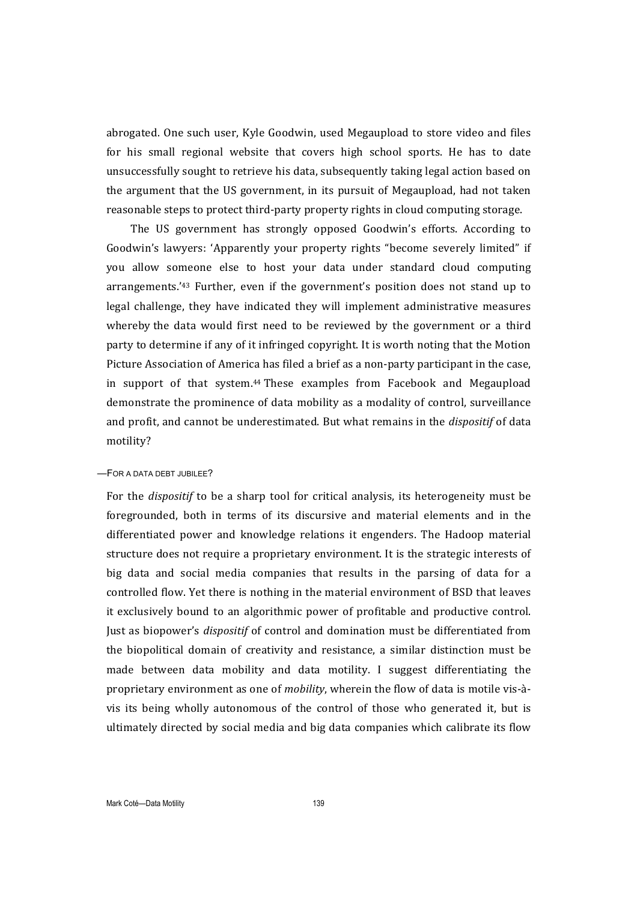abrogated. One such user, Kyle Goodwin, used Megaupload to store video and files for his small regional website that covers high school sports. He has to date unsuccessfully sought to retrieve his data, subsequently taking legal action based on the argument that the US government, in its pursuit of Megaupload, had not taken reasonable steps to protect third-party property rights in cloud computing storage.

The US government has strongly opposed Goodwin's efforts. According to Goodwin's lawyers: 'Apparently your property rights "become severely limited" if you allow someone else to host your data under standard cloud computing arrangements.<sup>'43</sup> Further, even if the government's position does not stand up to legal challenge, they have indicated they will implement administrative measures whereby the data would first need to be reviewed by the government or a third party to determine if any of it infringed copyright. It is worth noting that the Motion Picture Association of America has filed a brief as a non-party participant in the case. in support of that system.<sup>44</sup> These examples from Facebook and Megaupload demonstrate the prominence of data mobility as a modality of control, surveillance and profit, and cannot be underestimated. But what remains in the *dispositif* of data motility?

## —FOR A DATA DEBT JUBILEE?

For the *dispositif* to be a sharp tool for critical analysis, its heterogeneity must be foregrounded, both in terms of its discursive and material elements and in the differentiated power and knowledge relations it engenders. The Hadoop material structure does not require a proprietary environment. It is the strategic interests of big data and social media companies that results in the parsing of data for a controlled flow. Yet there is nothing in the material environment of BSD that leaves it exclusively bound to an algorithmic power of profitable and productive control. Just as biopower's *dispositif* of control and domination must be differentiated from the biopolitical domain of creativity and resistance, a similar distinction must be made between data mobility and data motility. I suggest differentiating the proprietary environment as one of *mobility*, wherein the flow of data is motile vis-àvis its being wholly autonomous of the control of those who generated it, but is ultimately directed by social media and big data companies which calibrate its flow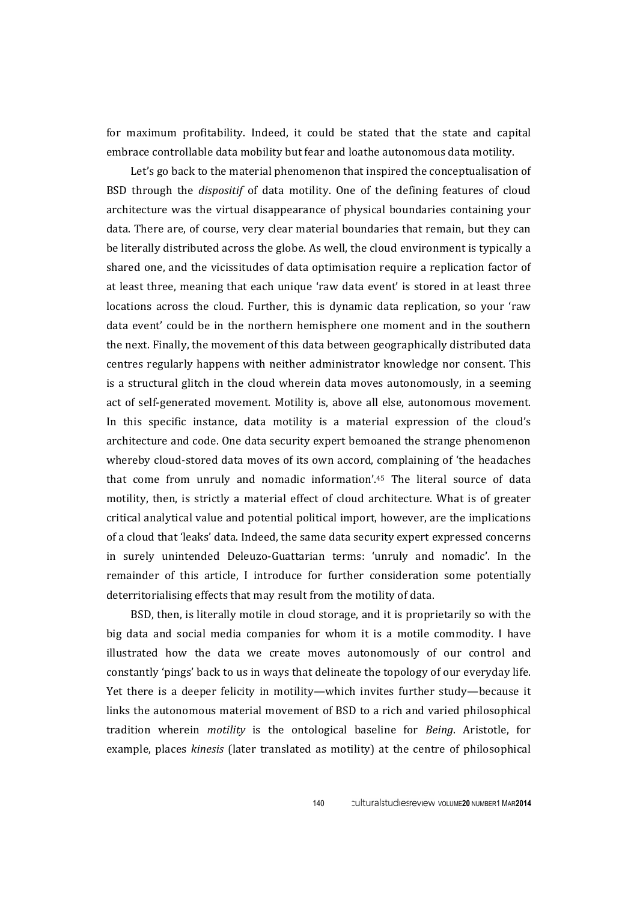for maximum profitability. Indeed, it could be stated that the state and capital embrace controllable data mobility but fear and loathe autonomous data motility.

Let's go back to the material phenomenon that inspired the conceptualisation of BSD through the *dispositif* of data motility. One of the defining features of cloud architecture was the virtual disappearance of physical boundaries containing your data. There are, of course, very clear material boundaries that remain, but they can be literally distributed across the globe. As well, the cloud environment is typically a shared one, and the vicissitudes of data optimisation require a replication factor of at least three, meaning that each unique 'raw data event' is stored in at least three locations across the cloud. Further, this is dynamic data replication, so your 'raw data event' could be in the northern hemisphere one moment and in the southern the next. Finally, the movement of this data between geographically distributed data centres regularly happens with neither administrator knowledge nor consent. This is a structural glitch in the cloud wherein data moves autonomously, in a seeming act of self-generated movement. Motility is, above all else, autonomous movement. In this specific instance, data motility is a material expression of the cloud's architecture and code. One data security expert bemoaned the strange phenomenon whereby cloud-stored data moves of its own accord, complaining of 'the headaches that come from unruly and nomadic information'.<sup>45</sup> The literal source of data motility, then, is strictly a material effect of cloud architecture. What is of greater critical analytical value and potential political import, however, are the implications of a cloud that 'leaks' data. Indeed, the same data security expert expressed concerns in surely unintended Deleuzo-Guattarian terms: 'unruly and nomadic'. In the remainder of this article, I introduce for further consideration some potentially deterritorialising effects that may result from the motility of data.

BSD, then, is literally motile in cloud storage, and it is proprietarily so with the big data and social media companies for whom it is a motile commodity. I have illustrated how the data we create moves autonomously of our control and constantly 'pings' back to us in ways that delineate the topology of our everyday life. Yet there is a deeper felicity in motility—which invites further study—because it links the autonomous material movement of BSD to a rich and varied philosophical tradition wherein *motility* is the ontological baseline for *Being*. Aristotle, for example, places *kinesis* (later translated as motility) at the centre of philosophical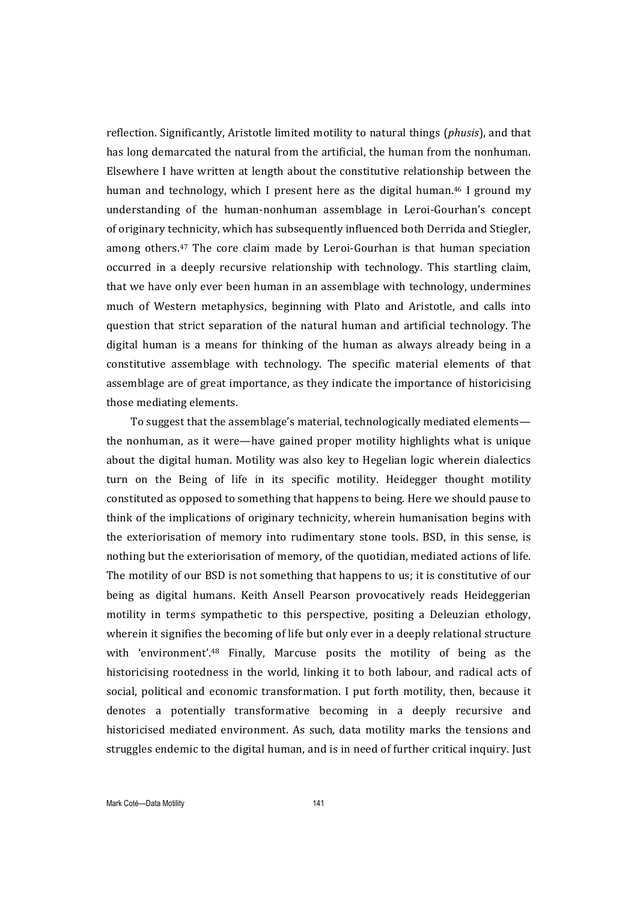reflection. Significantly, Aristotle limited motility to natural things (*phusis*), and that has long demarcated the natural from the artificial, the human from the nonhuman. Elsewhere I have written at length about the constitutive relationship between the human and technology, which I present here as the digital human.<sup>46</sup> I ground my understanding of the human-nonhuman assemblage in Leroi-Gourhan's concept of originary technicity, which has subsequently influenced both Derrida and Stiegler. among others. $47$  The core claim made by Leroi-Gourhan is that human speciation occurred in a deeply recursive relationship with technology. This startling claim, that we have only ever been human in an assemblage with technology, undermines much of Western metaphysics, beginning with Plato and Aristotle, and calls into question that strict separation of the natural human and artificial technology. The digital human is a means for thinking of the human as always already being in a constitutive assemblage with technology. The specific material elements of that assemblage are of great importance, as they indicate the importance of historicising those mediating elements.

To suggest that the assemblage's material, technologically mediated elements the nonhuman, as it were—have gained proper motility highlights what is unique about the digital human. Motility was also key to Hegelian logic wherein dialectics turn on the Being of life in its specific motility. Heidegger thought motility constituted as opposed to something that happens to being. Here we should pause to think of the implications of originary technicity, wherein humanisation begins with the exteriorisation of memory into rudimentary stone tools. BSD, in this sense, is nothing but the exteriorisation of memory, of the quotidian, mediated actions of life. The motility of our BSD is not something that happens to us; it is constitutive of our being as digital humans. Keith Ansell Pearson provocatively reads Heideggerian motility in terms sympathetic to this perspective, positing a Deleuzian ethology, wherein it signifies the becoming of life but only ever in a deeply relational structure with 'environment'.<sup>48</sup> Finally, Marcuse posits the motility of being as the historicising rootedness in the world, linking it to both labour, and radical acts of social, political and economic transformation. I put forth motility, then, because it denotes a potentially transformative becoming in a deeply recursive and historicised mediated environment. As such, data motility marks the tensions and struggles endemic to the digital human, and is in need of further critical inquiry. Just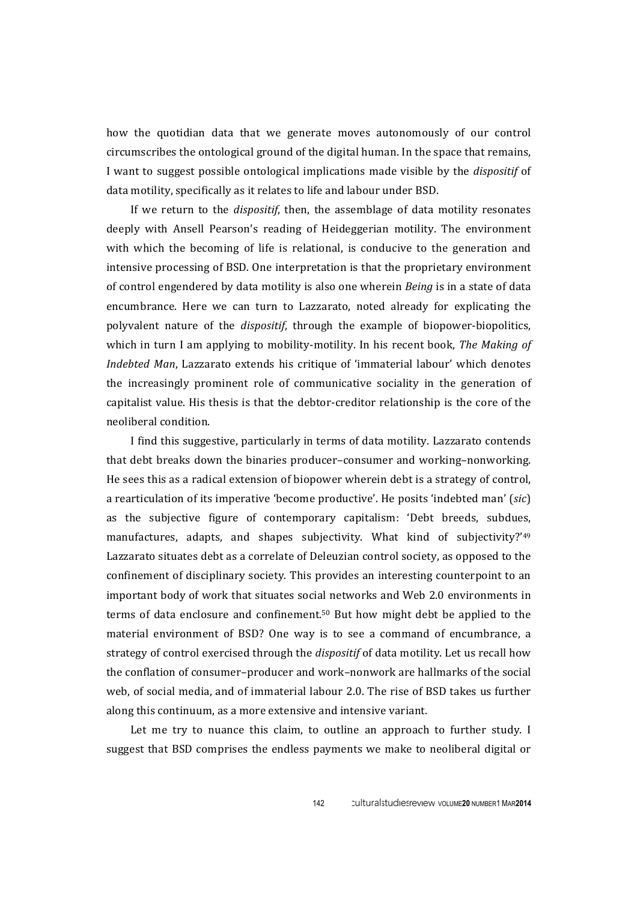how the quotidian data that we generate moves autonomously of our control circumscribes the ontological ground of the digital human. In the space that remains, I want to suggest possible ontological implications made visible by the *dispositif* of data motility, specifically as it relates to life and labour under BSD.

If we return to the *dispositif*, then, the assemblage of data motility resonates deeply with Ansell Pearson's reading of Heideggerian motility. The environment with which the becoming of life is relational, is conducive to the generation and intensive processing of BSD. One interpretation is that the proprietary environment of control engendered by data motility is also one wherein *Being* is in a state of data encumbrance. Here we can turn to Lazzarato, noted already for explicating the polyvalent nature of the *dispositif*, through the example of biopower-biopolitics, which in turn I am applying to mobility-motility. In his recent book, *The Making of Indebted Man*, Lazzarato extends his critique of 'immaterial labour' which denotes the increasingly prominent role of communicative sociality in the generation of capitalist value. His thesis is that the debtor-creditor relationship is the core of the neoliberal condition. 

I find this suggestive, particularly in terms of data motility. Lazzarato contends that debt breaks down the binaries producer-consumer and working-nonworking. He sees this as a radical extension of biopower wherein debt is a strategy of control, a rearticulation of its imperative 'become productive'. He posits 'indebted man' (*sic*) as the subjective figure of contemporary capitalism: 'Debt breeds, subdues, manufactures, adapts, and shapes subjectivity. What kind of subjectivity?'<sup>49</sup> Lazzarato situates debt as a correlate of Deleuzian control society, as opposed to the confinement of disciplinary society. This provides an interesting counterpoint to an important body of work that situates social networks and Web 2.0 environments in terms of data enclosure and confinement.<sup>50</sup> But how might debt be applied to the material environment of BSD? One way is to see a command of encumbrance, a strategy of control exercised through the *dispositif* of data motility. Let us recall how the conflation of consumer-producer and work-nonwork are hallmarks of the social web, of social media, and of immaterial labour 2.0. The rise of BSD takes us further along this continuum, as a more extensive and intensive variant.

Let me try to nuance this claim, to outline an approach to further study. I suggest that BSD comprises the endless payments we make to neoliberal digital or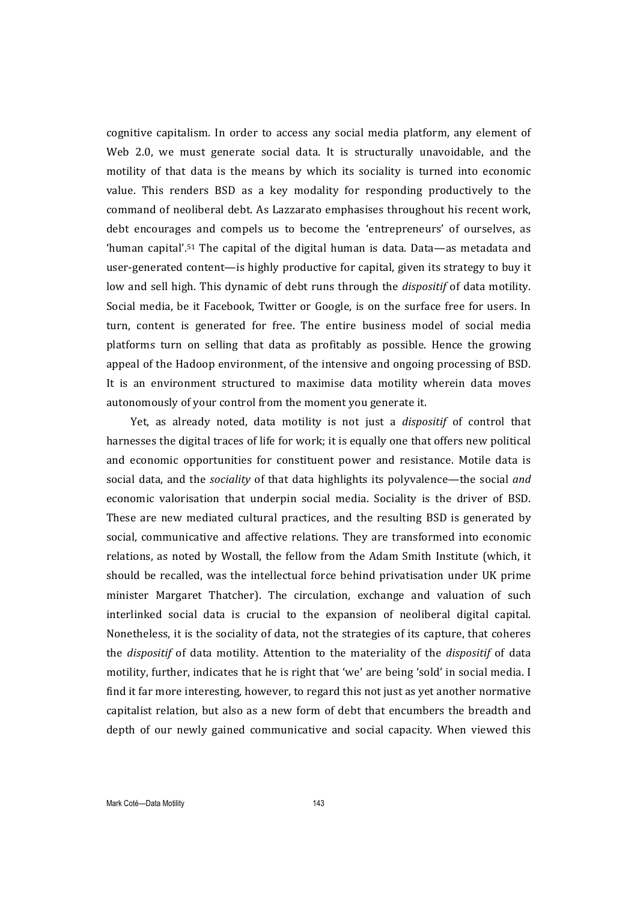cognitive capitalism. In order to access any social media platform, any element of Web 2.0, we must generate social data. It is structurally unavoidable, and the motility of that data is the means by which its sociality is turned into economic value. This renders BSD as a key modality for responding productively to the command of neoliberal debt. As Lazzarato emphasises throughout his recent work, debt encourages and compels us to become the 'entrepreneurs' of ourselves, as 'human capital'.<sup>51</sup> The capital of the digital human is data. Data—as metadata and user-generated content—is highly productive for capital, given its strategy to buy it low and sell high. This dynamic of debt runs through the *dispositif* of data motility. Social media, be it Facebook, Twitter or Google, is on the surface free for users. In turn, content is generated for free. The entire business model of social media platforms turn on selling that data as profitably as possible. Hence the growing appeal of the Hadoop environment, of the intensive and ongoing processing of BSD. It is an environment structured to maximise data motility wherein data moves autonomously of your control from the moment you generate it.

Yet, as already noted, data motility is not just a *dispositif* of control that harnesses the digital traces of life for work; it is equally one that offers new political and economic opportunities for constituent power and resistance. Motile data is social data, and the *sociality* of that data highlights its polyvalence—the social *and* economic valorisation that underpin social media. Sociality is the driver of BSD. These are new mediated cultural practices, and the resulting BSD is generated by social, communicative and affective relations. They are transformed into economic relations, as noted by Wostall, the fellow from the Adam Smith Institute (which, it should be recalled, was the intellectual force behind privatisation under UK prime minister Margaret Thatcher). The circulation, exchange and valuation of such interlinked social data is crucial to the expansion of neoliberal digital capital. Nonetheless, it is the sociality of data, not the strategies of its capture, that coheres the *dispositif* of data motility. Attention to the materiality of the *dispositif* of data motility, further, indicates that he is right that 'we' are being 'sold' in social media. I find it far more interesting, however, to regard this not just as yet another normative capitalist relation, but also as a new form of debt that encumbers the breadth and depth of our newly gained communicative and social capacity. When viewed this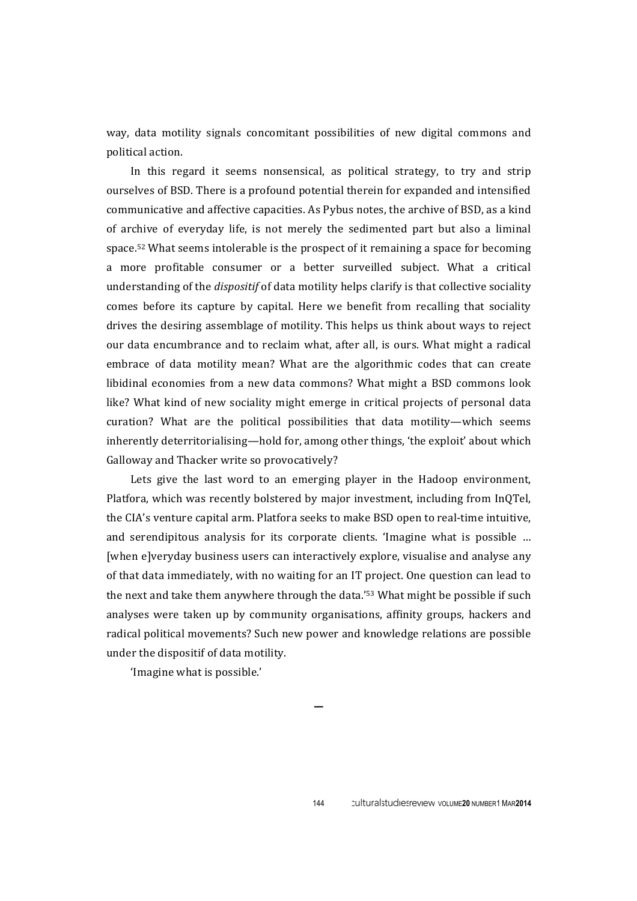way, data motility signals concomitant possibilities of new digital commons and political action.

In this regard it seems nonsensical, as political strategy, to try and strip ourselves of BSD. There is a profound potential therein for expanded and intensified communicative and affective capacities. As Pybus notes, the archive of BSD, as a kind of archive of everyday life, is not merely the sedimented part but also a liminal space.<sup>52</sup> What seems intolerable is the prospect of it remaining a space for becoming a more profitable consumer or a better surveilled subject. What a critical understanding of the *dispositif* of data motility helps clarify is that collective sociality comes before its capture by capital. Here we benefit from recalling that sociality drives the desiring assemblage of motility. This helps us think about ways to reject our data encumbrance and to reclaim what, after all, is ours. What might a radical embrace of data motility mean? What are the algorithmic codes that can create libidinal economies from a new data commons? What might a BSD commons look like? What kind of new sociality might emerge in critical projects of personal data curation? What are the political possibilities that data motility—which seems inherently deterritorialising—hold for, among other things, 'the exploit' about which Galloway and Thacker write so provocatively?

Lets give the last word to an emerging player in the Hadoop environment, Platfora, which was recently bolstered by major investment, including from InOTel. the CIA's venture capital arm. Platfora seeks to make BSD open to real-time intuitive, and serendipitous analysis for its corporate clients. 'Imagine what is possible ... [when e]veryday business users can interactively explore, visualise and analyse any of that data immediately, with no waiting for an IT project. One question can lead to the next and take them anywhere through the data.'<sup>53</sup> What might be possible if such analyses were taken up by community organisations, affinity groups, hackers and radical political movements? Such new power and knowledge relations are possible under the dispositif of data motility.

**—**

'Imagine what is possible.'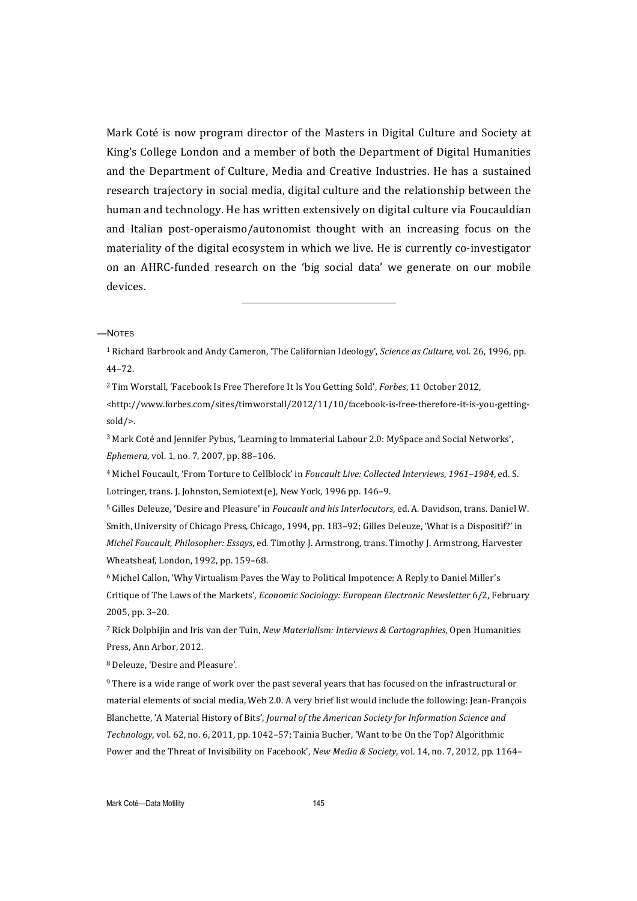Mark Coté is now program director of the Masters in Digital Culture and Society at King's College London and a member of both the Department of Digital Humanities and the Department of Culture, Media and Creative Industries. He has a sustained research trajectory in social media, digital culture and the relationship between the human and technology. He has written extensively on digital culture via Foucauldian and Italian post-operaismo/autonomist thought with an increasing focus on the materiality of the digital ecosystem in which we live. He is currently co-investigator on an AHRC-funded research on the 'big social data' we generate on our mobile devices. 

—NOTES

<sup>1</sup> Richard Barbrook and Andy Cameron, 'The Californian Ideology', *Science as Culture*, vol. 26, 1996, pp. 44–72.

<u> 1989 - Johann Stein, fransk politik (d. 1989)</u>

<sup>2</sup> Tim Worstall, 'Facebook Is Free Therefore It Is You Getting Sold', *Forbes*, 11 October 2012,

<http://www.forbes.com/sites/timworstall/2012/11/10/facebook-is-free-therefore-it-is-you-gettingsold/>.

<sup>3</sup> Mark Coté and Jennifer Pybus, 'Learning to Immaterial Labour 2.0: MySpace and Social Networks', *Ephemera*, vol. 1, no. 7, 2007, pp. 88-106.

4 Michel Foucault, 'From Torture to Cellblock' in *Foucault Live: Collected Interviews*, *1961–1984*, ed. S. Lotringer, trans. J. Johnston, Semiotext(e), New York, 1996 pp. 146-9.

<sup>5</sup> Gilles Deleuze, 'Desire and Pleasure' in *Foucault and his Interlocutors*, ed. A. Davidson, trans. Daniel W. Smith, University of Chicago Press, Chicago, 1994, pp. 183-92; Gilles Deleuze, 'What is a Dispositif?' in *Michel Foucault, Philosopher: Essays, ed.* Timothy J. Armstrong, trans. Timothy J. Armstrong, Harvester Wheatsheaf, London, 1992, pp. 159-68.

 $6$  Michel Callon, 'Why Virtualism Paves the Way to Political Impotence: A Reply to Daniel Miller's Critique of The Laws of the Markets', *Economic Sociology: European Electronic Newsletter* 6/2, February 2005, pp. 3-20.

<sup>7</sup> Rick Dolphijin and Iris van der Tuin, *New Materialism: Interviews & Cartographies*, Open Humanities Press, Ann Arbor, 2012.

8 Deleuze, 'Desire and Pleasure'.

 $9$  There is a wide range of work over the past several years that has focused on the infrastructural or material elements of social media, Web 2.0. A very brief list would include the following: Jean-François Blanchette, 'A Material History of Bits', *Journal of the American Society for Information Science and* Technology, vol. 62, no. 6, 2011, pp. 1042–57; Tainia Bucher, 'Want to be On the Top? Algorithmic Power and the Threat of Invisibility on Facebook', *New Media & Society*, vol. 14, no. 7, 2012, pp. 1164–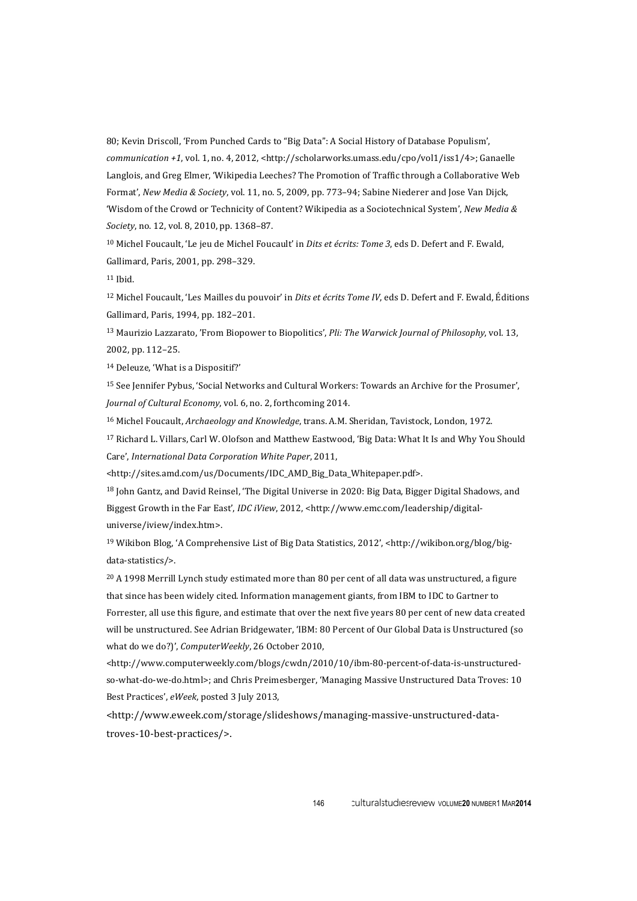80; Kevin Driscoll, 'From Punched Cards to "Big Data": A Social History of Database Populism', *communication* +1, vol. 1, no. 4, 2012, <http://scholarworks.umass.edu/cpo/vol1/iss1/4>; Ganaelle Langlois, and Greg Elmer, 'Wikipedia Leeches? The Promotion of Traffic through a Collaborative Web Format', *New Media & Society*, vol. 11, no. 5, 2009, pp. 773-94; Sabine Niederer and Jose Van Dijck, 'Wisdom of the Crowd or Technicity of Content? Wikipedia as a Sociotechnical System', *New Media & Society*, no. 12, vol. 8, 2010, pp. 1368-87.

<sup>10</sup> Michel Foucault, 'Le jeu de Michel Foucault' in *Dits et écrits: Tome 3*, eds D. Defert and F. Ewald, Gallimard, Paris, 2001, pp. 298-329.

<sup>11</sup> Ibid.

<sup>12</sup> Michel Foucault, 'Les Mailles du pouvoir' in *Dits et écrits Tome IV*, eds D. Defert and F. Ewald, Éditions Gallimard, Paris, 1994, pp. 182-201.

<sup>13</sup> Maurizio Lazzarato, 'From Biopower to Biopolitics', *Pli: The Warwick Journal of Philosophy*, vol. 13, 2002, pp. 112-25.

<sup>14</sup> Deleuze, 'What is a Dispositif?'

<sup>15</sup> See Jennifer Pybus, 'Social Networks and Cultural Workers: Towards an Archive for the Prosumer', *Journal of Cultural Economy, vol.* 6, no. 2, forthcoming 2014.

<sup>16</sup> Michel Foucault, *Archaeology and Knowledge*, trans. A.M. Sheridan, Tavistock, London, 1972.

<sup>17</sup> Richard L. Villars, Carl W. Olofson and Matthew Eastwood, 'Big Data: What It Is and Why You Should Care', *International Data Corporation White Paper*, 2011, 

<http://sites.amd.com/us/Documents/IDC\_AMD\_Big\_Data\_Whitepaper.pdf>.

<sup>18</sup> John Gantz, and David Reinsel, 'The Digital Universe in 2020: Big Data, Bigger Digital Shadows, and Biggest Growth in the Far East', *IDC* iView, 2012, <http://www.emc.com/leadership/digitaluniverse/iview/index.htm>.

<sup>19</sup> Wikibon Blog, 'A Comprehensive List of Big Data Statistics, 2012', <http://wikibon.org/blog/bigdata-statistics/>.

 $20$  A 1998 Merrill Lynch study estimated more than 80 per cent of all data was unstructured, a figure that since has been widely cited. Information management giants, from IBM to IDC to Gartner to

Forrester, all use this figure, and estimate that over the next five years 80 per cent of new data created will be unstructured. See Adrian Bridgewater, 'IBM: 80 Percent of Our Global Data is Unstructured (so what do we do?)', *ComputerWeekly*, 26 October 2010,

<http://www.computerweekly.com/blogs/cwdn/2010/10/ibm-80-percent-of-data-is-unstructuredso-what-do-we-do.html>; and Chris Preimesberger, 'Managing Massive Unstructured Data Troves: 10 Best Practices', eWeek, posted 3 July 2013,

<http://www.eweek.com/storage/slideshows/managing-massive-unstructured-datatroves-10-best-practices/>.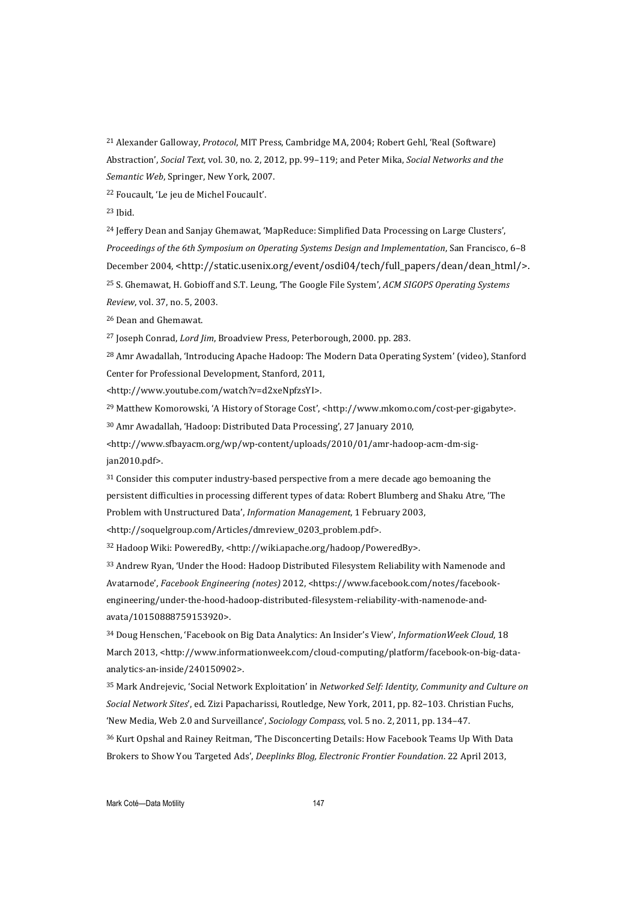<sup>21</sup> Alexander Galloway, *Protocol*, MIT Press, Cambridge MA, 2004; Robert Gehl, 'Real (Software) Abstraction', *Social Text*, vol. 30, no. 2, 2012, pp. 99-119; and Peter Mika, *Social Networks and the Semantic Web*, Springer, New York, 2007.

<sup>22</sup> Foucault, 'Le jeu de Michel Foucault'.

23 Ibid.

 $24$  Jeffery Dean and Sanjay Ghemawat, 'MapReduce: Simplified Data Processing on Large Clusters', *Proceedings of the 6th Symposium on Operating Systems Design and Implementation*, San Francisco, 6–8 December 2004, <http://static.usenix.org/event/osdi04/tech/full\_papers/dean/dean\_html/>. <sup>25</sup> S. Ghemawat, H. Gobioff and S.T. Leung, 'The Google File System', *ACM SIGOPS Operating Systems Review*, vol. 37, no. 5, 2003.

<sup>26</sup> Dean and Ghemawat.

<sup>27</sup> Joseph Conrad, *Lord Jim*, Broadview Press, Peterborough, 2000. pp. 283.

<sup>28</sup> Amr Awadallah, 'Introducing Apache Hadoop: The Modern Data Operating System' (video), Stanford Center for Professional Development, Stanford, 2011,

<http://www.youtube.com/watch?v=d2xeNpfzsYI>.

<sup>29</sup> Matthew Komorowski, 'A History of Storage Cost', <http://www.mkomo.com/cost-per-gigabyte>.

<sup>30</sup> Amr Awadallah, 'Hadoop: Distributed Data Processing', 27 January 2010,

<http://www.sfbayacm.org/wp/wp-content/uploads/2010/01/amr-hadoop-acm-dm-sigjan2010.pdf>.

 $31$  Consider this computer industry-based perspective from a mere decade ago bemoaning the persistent difficulties in processing different types of data: Robert Blumberg and Shaku Atre, 'The Problem with Unstructured Data', *Information Management*, 1 February 2003, <http://soquelgroup.com/Articles/dmreview\_0203\_problem.pdf>.

32 Hadoop Wiki: PoweredBy, <http://wiki.apache.org/hadoop/PoweredBy>.

33 Andrew Ryan, 'Under the Hood: Hadoop Distributed Filesystem Reliability with Namenode and

Avatarnode', Facebook Engineering (notes) 2012, <https://www.facebook.com/notes/facebookengineering/under-the-hood-hadoop-distributed-filesystem-reliability-with-namenode-andavata/10150888759153920>.

<sup>34</sup> Doug Henschen, 'Facebook on Big Data Analytics: An Insider's View', *InformationWeek Cloud*, 18 March 2013, <http://www.informationweek.com/cloud-computing/platform/facebook-on-big-dataanalytics-an-inside/240150902>.

<sup>35</sup> Mark Andrejevic, 'Social Network Exploitation' in *Networked Self: Identity, Community and Culture on* Social Network Sites', ed. Zizi Papacharissi, Routledge, New York, 2011, pp. 82-103. Christian Fuchs, 'New Media, Web 2.0 and Surveillance', *Sociology Compass*, vol. 5 no. 2, 2011, pp. 134-47.

36 Kurt Opshal and Rainey Reitman, 'The Disconcerting Details: How Facebook Teams Up With Data Brokers to Show You Targeted Ads', *Deeplinks Blog, Electronic Frontier Foundation*. 22 April 2013,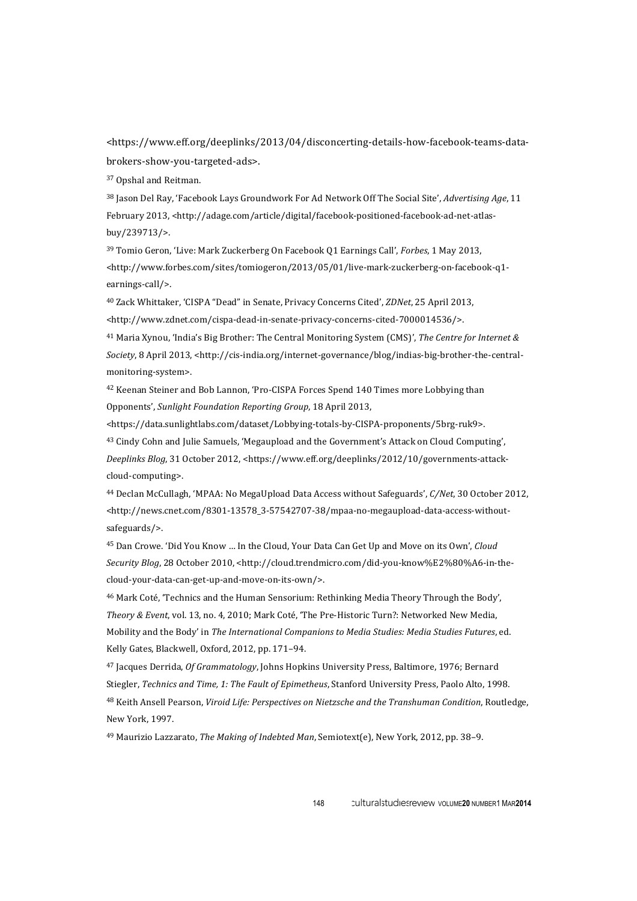<https://www.eff.org/deeplinks/2013/04/disconcerting-details-how-facebook-teams-databrokers-show-you-targeted-ads>.

<sup>37</sup> Opshal and Reitman.

<sup>38</sup> Jason Del Ray, 'Facebook Lays Groundwork For Ad Network Off The Social Site', *Advertising Age*, 11 February 2013, <http://adage.com/article/digital/facebook-positioned-facebook-ad-net-atlasbuy/239713/>.

<sup>39</sup> Tomio Geron, 'Live: Mark Zuckerberg On Facebook Q1 Earnings Call', *Forbes*, 1 May 2013, <http://www.forbes.com/sites/tomiogeron/2013/05/01/live-mark-zuckerberg-on-facebook-q1 earnings-call/>.

40 Zack Whittaker, 'CISPA "Dead" in Senate, Privacy Concerns Cited', *ZDNet*, 25 April 2013, <http://www.zdnet.com/cispa-dead-in-senate-privacy-concerns-cited-7000014536/>.

<sup>41</sup> Maria Xynou, 'India's Big Brother: The Central Monitoring System (CMS)', *The Centre for Internet & Society*, 8 April 2013, <http://cis-india.org/internet-governance/blog/indias-big-brother-the-centralmonitoring-system>.

<sup>42</sup> Keenan Steiner and Bob Lannon, 'Pro-CISPA Forces Spend 140 Times more Lobbying than Opponents', *Sunlight Foundation Reporting Group*, 18 April 2013,

<https://data.sunlightlabs.com/dataset/Lobbying-totals-by-CISPA-proponents/5brg-ruk9>.

<sup>43</sup> Cindy Cohn and Julie Samuels, 'Megaupload and the Government's Attack on Cloud Computing',

*Deeplinks Blog*, 31 October 2012, <https://www.eff.org/deeplinks/2012/10/governments-attackcloud-computing>.

<sup>44</sup> Declan McCullagh, 'MPAA: No MegaUpload Data Access without Safeguards', *C/Net*, 30 October 2012, <http://news.cnet.com/8301-13578\_3-57542707-38/mpaa-no-megaupload-data-access-withoutsafeguards/>.

<sup>45</sup> Dan Crowe. 'Did You Know ... In the Cloud, Your Data Can Get Up and Move on its Own', *Cloud* Security Blog, 28 October 2010, <http://cloud.trendmicro.com/did-you-know%E2%80%A6-in-thecloud-your-data-can-get-up-and-move-on-its-own/>.

 $46$  Mark Coté, 'Technics and the Human Sensorium: Rethinking Media Theory Through the Body', *Theory & Event, vol.* 13, no. 4, 2010; Mark Coté, 'The Pre-Historic Turn?: Networked New Media, Mobility and the Body' in *The International Companions to Media Studies: Media Studies Futures*, ed. Kelly Gates, Blackwell, Oxford, 2012, pp. 171-94.

<sup>47</sup> Jacques Derrida, *Of Grammatology*, Johns Hopkins University Press, Baltimore, 1976; Bernard Stiegler, *Technics and Time, 1: The Fault of Epimetheus*, Stanford University Press, Paolo Alto, 1998. <sup>48</sup> Keith Ansell Pearson, *Viroid Life: Perspectives on Nietzsche and the Transhuman Condition*, Routledge, New York, 1997.

<sup>49</sup> Maurizio Lazzarato, *The Making of Indebted Man*, Semiotext(e), New York, 2012, pp. 38-9.